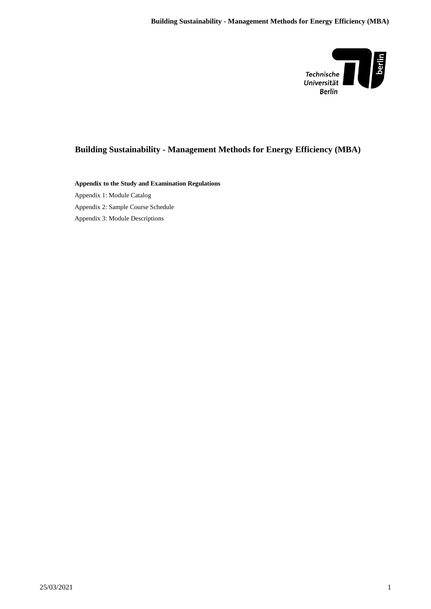

# **Building Sustainability - Management Methods for Energy Efficiency (MBA)**

**Appendix to the Study and Examination Regulations** Appendix 1: Module Catalog Appendix 2: Sample Course Schedule Appendix 3: Module Descriptions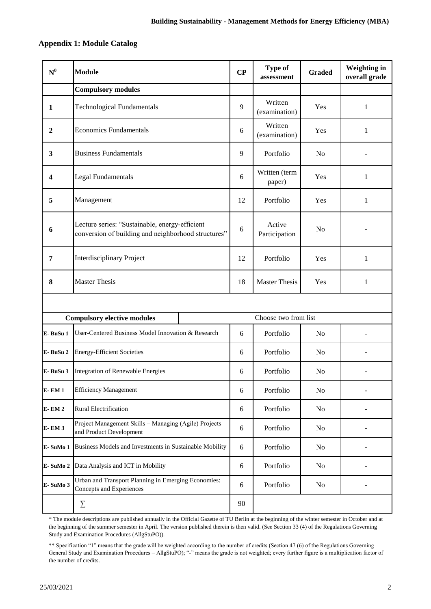## **Appendix 1: Module Catalog**

| $N^0$        | <b>Module</b>                                                                                         | CP | <b>Type of</b><br>assessment | <b>Graded</b>  | <b>Weighting in</b><br>overall grade |
|--------------|-------------------------------------------------------------------------------------------------------|----|------------------------------|----------------|--------------------------------------|
|              | <b>Compulsory modules</b>                                                                             |    |                              |                |                                      |
| 1            | <b>Technological Fundamentals</b>                                                                     | 9  | Written<br>(examination)     | Yes            | 1                                    |
| 2            | <b>Economics Fundamentals</b>                                                                         | 6  | Written<br>(examination)     | Yes            | $\mathbf{1}$                         |
| 3            | <b>Business Fundamentals</b>                                                                          | 9  | Portfolio                    | N <sub>o</sub> |                                      |
| 4            | <b>Legal Fundamentals</b>                                                                             | 6  | Written (term<br>paper)      | Yes            | 1                                    |
| 5            | Management                                                                                            | 12 | Portfolio                    | Yes            | 1                                    |
| 6            | Lecture series: "Sustainable, energy-efficient<br>conversion of building and neighborhood structures" |    | Active<br>Participation      | N <sub>o</sub> |                                      |
| 7            | <b>Interdisciplinary Project</b>                                                                      |    | Portfolio                    | Yes            | 1                                    |
| 8            | <b>Master Thesis</b>                                                                                  |    | <b>Master Thesis</b>         | Yes            | 1                                    |
|              |                                                                                                       |    |                              |                |                                      |
|              | <b>Compulsory elective modules</b>                                                                    |    | Choose two from list         |                |                                      |
| E-BuSu 1     | User-Centered Business Model Innovation & Research                                                    | 6  | Portfolio                    | N <sub>o</sub> |                                      |
| E-BuSu 2     | <b>Energy-Efficient Societies</b>                                                                     | 6  | Portfolio                    | No             |                                      |
| E-BuSu 3     | <b>Integration of Renewable Energies</b>                                                              | 6  | Portfolio                    | N <sub>0</sub> |                                      |
| <b>E-EM1</b> | <b>Efficiency Management</b>                                                                          | 6  | Portfolio                    | No             |                                      |
| <b>E-EM2</b> | Rural Electrification                                                                                 |    | Portfolio                    | No             |                                      |
| <b>E-EM3</b> | Project Management Skills - Managing (Agile) Projects<br>and Product Development                      |    | Portfolio                    | No             |                                      |
| E-SuMo 1     | Business Models and Investments in Sustainable Mobility                                               |    | Portfolio                    | N <sub>o</sub> |                                      |
| E-SuMo 2     | Data Analysis and ICT in Mobility                                                                     |    | Portfolio                    | No             |                                      |
| E-SuMo 3     | Urban and Transport Planning in Emerging Economies:<br>Concepts and Experiences                       | 6  | Portfolio                    | N <sub>o</sub> |                                      |
|              | $\sum$                                                                                                | 90 |                              |                |                                      |

\* The module descriptions are published annually in the Official Gazette of TU Berlin at the beginning of the winter semester in October and at the beginning of the summer semester in April. The version published therein is then valid. (See Section 33 (4) of the Regulations Governing Study and Examination Procedures (AllgStuPO)).

\*\* Specification "1" means that the grade will be weighted according to the number of credits (Section 47 (6) of the Regulations Governing General Study and Examination Procedures – AllgStuPO); "-" means the grade is not weighted; every further figure is a multiplication factor of the number of credits.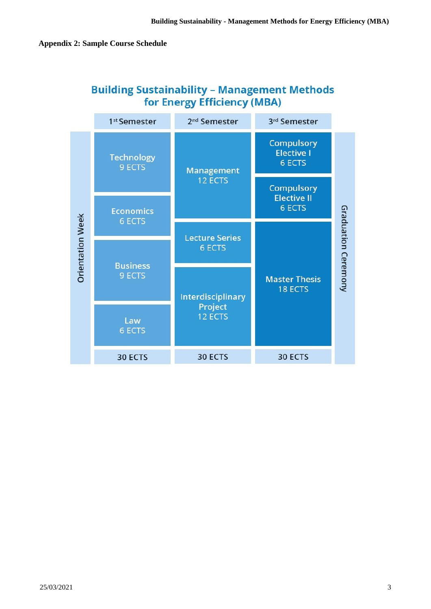|                         | 1 <sup>st</sup> Semester          | 2 <sup>nd</sup> Semester | 3rd Semester                                            |                     |
|-------------------------|-----------------------------------|--------------------------|---------------------------------------------------------|---------------------|
|                         | <b>Technology</b><br>9 ECTS       | <b>Management</b>        | <b>Compulsory</b><br><b>Elective I</b><br><b>6 ECTS</b> |                     |
|                         |                                   | 12 ECTS                  | <b>Compulsory</b><br><b>Elective II</b>                 |                     |
|                         | <b>Economics</b><br><b>6 ECTS</b> | <b>6 ECTS</b>            |                                                         |                     |
|                         |                                   | <b>Lecture Series</b>    |                                                         |                     |
| <b>Orientation Week</b> |                                   | <b>6 ECTS</b>            |                                                         |                     |
|                         | <b>Business</b><br>9 ECTS         | Interdisciplinary        | <b>Master Thesis</b><br><b>18 ECTS</b>                  | Graduation Ceremony |
|                         | Law<br><b>6 ECTS</b>              | Project<br>12 ECTS       |                                                         |                     |
|                         | 30 ECTS                           | 30 ECTS                  | 30 ECTS                                                 |                     |

# **Building Sustainability - Management Methods** for Energy Efficiency (MBA)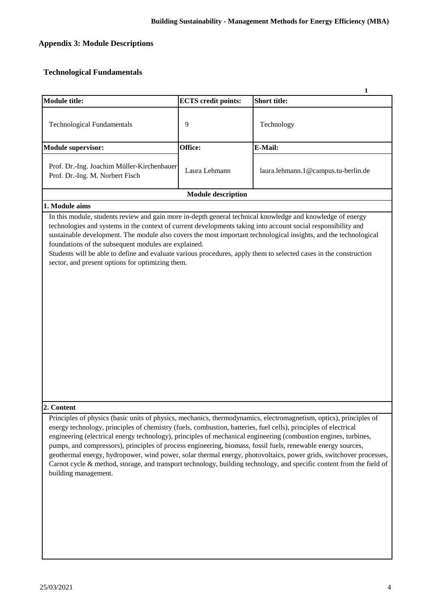# **Appendix 3: Module Descriptions**

## **Technological Fundamentals**

| <b>Module title:</b>                                                                                                                                                                                                                                                                                                                                                                                                                                                                                                                                                             | <b>ECTS</b> credit points: | 1<br><b>Short title:</b>                                                                                                                                                                                                                    |
|----------------------------------------------------------------------------------------------------------------------------------------------------------------------------------------------------------------------------------------------------------------------------------------------------------------------------------------------------------------------------------------------------------------------------------------------------------------------------------------------------------------------------------------------------------------------------------|----------------------------|---------------------------------------------------------------------------------------------------------------------------------------------------------------------------------------------------------------------------------------------|
|                                                                                                                                                                                                                                                                                                                                                                                                                                                                                                                                                                                  |                            |                                                                                                                                                                                                                                             |
| <b>Technological Fundamentals</b>                                                                                                                                                                                                                                                                                                                                                                                                                                                                                                                                                | 9                          | Technology                                                                                                                                                                                                                                  |
| <b>Module supervisor:</b>                                                                                                                                                                                                                                                                                                                                                                                                                                                                                                                                                        | Office:                    | E-Mail:                                                                                                                                                                                                                                     |
| Prof. Dr.-Ing. Joachim Müller-Kirchenbauer<br>Prof. Dr.-Ing. M. Norbert Fisch                                                                                                                                                                                                                                                                                                                                                                                                                                                                                                    | Laura Lehmann              | laura.lehmann.1@campus.tu-berlin.de                                                                                                                                                                                                         |
|                                                                                                                                                                                                                                                                                                                                                                                                                                                                                                                                                                                  | <b>Module description</b>  |                                                                                                                                                                                                                                             |
| 1. Module aims                                                                                                                                                                                                                                                                                                                                                                                                                                                                                                                                                                   |                            |                                                                                                                                                                                                                                             |
| In this module, students review and gain more in-depth general technical knowledge and knowledge of energy<br>technologies and systems in the context of current developments taking into account social responsibility and<br>sustainable development. The module also covers the most important technological insights, and the technological<br>foundations of the subsequent modules are explained.<br>Students will be able to define and evaluate various procedures, apply them to selected cases in the construction<br>sector, and present options for optimizing them. |                            |                                                                                                                                                                                                                                             |
| 2. Content                                                                                                                                                                                                                                                                                                                                                                                                                                                                                                                                                                       |                            |                                                                                                                                                                                                                                             |
| Principles of physics (basic units of physics, mechanics, thermodynamics, electromagnetism, optics), principles of<br>energy technology, principles of chemistry (fuels, combustion, batteries, fuel cells), principles of electrical<br>engineering (electrical energy technology), principles of mechanical engineering (combustion engines, turbines,<br>pumps, and compressors), principles of process engineering, biomass, fossil fuels, renewable energy sources,<br>building management.                                                                                 |                            | geothermal energy, hydropower, wind power, solar thermal energy, photovoltaics, power grids, switchover processes,<br>Carnot cycle & method, storage, and transport technology, building technology, and specific content from the field of |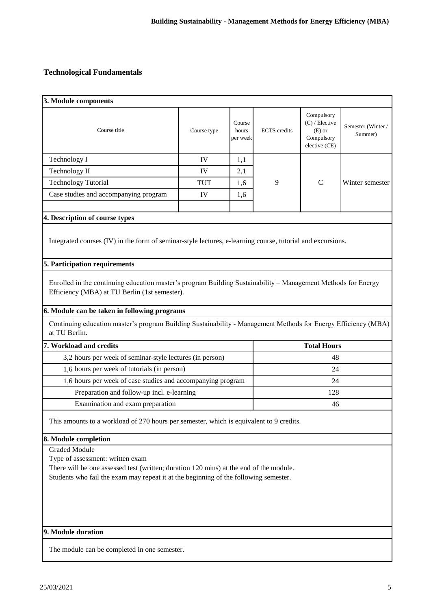## **Technological Fundamentals**

| 3. Module components                                                                                                                                                           |             |                             |                     |                                                                           |                              |  |
|--------------------------------------------------------------------------------------------------------------------------------------------------------------------------------|-------------|-----------------------------|---------------------|---------------------------------------------------------------------------|------------------------------|--|
| Course title                                                                                                                                                                   | Course type | Course<br>hours<br>per week | <b>ECTS</b> credits | Compulsory<br>$(C)$ / Elective<br>$(E)$ or<br>Compulsory<br>elective (CE) | Semester (Winter/<br>Summer) |  |
| Technology I                                                                                                                                                                   | IV          | 1,1                         |                     |                                                                           |                              |  |
| Technology II                                                                                                                                                                  | IV          | 2,1                         |                     |                                                                           |                              |  |
| <b>Technology Tutorial</b>                                                                                                                                                     | <b>TUT</b>  | 1.6                         | 9                   | $\mathsf{C}$                                                              | Winter semester              |  |
| Case studies and accompanying program                                                                                                                                          | IV          | 1,6                         |                     |                                                                           |                              |  |
| 4. Description of course types                                                                                                                                                 |             |                             |                     |                                                                           |                              |  |
| Integrated courses (IV) in the form of seminar-style lectures, e-learning course, tutorial and excursions.                                                                     |             |                             |                     |                                                                           |                              |  |
| 5. Participation requirements                                                                                                                                                  |             |                             |                     |                                                                           |                              |  |
| Enrolled in the continuing education master's program Building Sustainability - Management Methods for Energy<br>Efficiency (MBA) at TU Berlin (1st semester).                 |             |                             |                     |                                                                           |                              |  |
| 6. Module can be taken in following programs                                                                                                                                   |             |                             |                     |                                                                           |                              |  |
| Continuing education master's program Building Sustainability - Management Methods for Energy Efficiency (MBA)<br>at TU Berlin.                                                |             |                             |                     |                                                                           |                              |  |
| 7. Workload and credits                                                                                                                                                        |             |                             |                     | <b>Total Hours</b>                                                        |                              |  |
| 3,2 hours per week of seminar-style lectures (in person)                                                                                                                       |             |                             |                     | 48                                                                        |                              |  |
| 1,6 hours per week of tutorials (in person)                                                                                                                                    |             |                             |                     | 24                                                                        |                              |  |
| 1,6 hours per week of case studies and accompanying program                                                                                                                    |             |                             | 24                  |                                                                           |                              |  |
| Preparation and follow-up incl. e-learning                                                                                                                                     |             |                             |                     | 128                                                                       |                              |  |
| Examination and exam preparation                                                                                                                                               |             |                             | 46                  |                                                                           |                              |  |
| This amounts to a workload of 270 hours per semester, which is equivalent to 9 credits.                                                                                        |             |                             |                     |                                                                           |                              |  |
| 8. Module completion                                                                                                                                                           |             |                             |                     |                                                                           |                              |  |
| <b>Graded Module</b>                                                                                                                                                           |             |                             |                     |                                                                           |                              |  |
| Type of assessment: written exam                                                                                                                                               |             |                             |                     |                                                                           |                              |  |
| There will be one assessed test (written; duration 120 mins) at the end of the module.<br>Students who fail the exam may repeat it at the beginning of the following semester. |             |                             |                     |                                                                           |                              |  |
|                                                                                                                                                                                |             |                             |                     |                                                                           |                              |  |
|                                                                                                                                                                                |             |                             |                     |                                                                           |                              |  |
|                                                                                                                                                                                |             |                             |                     |                                                                           |                              |  |
|                                                                                                                                                                                |             |                             |                     |                                                                           |                              |  |
|                                                                                                                                                                                |             |                             |                     |                                                                           |                              |  |
| 9. Module duration                                                                                                                                                             |             |                             |                     |                                                                           |                              |  |

The module can be completed in one semester.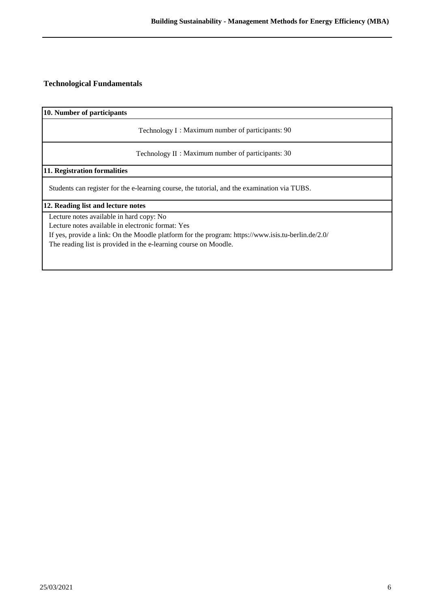## **Technological Fundamentals**

**10. Number of participants**

Technology I : Maximum number of participants: 90

Technology II : Maximum number of participants: 30

**11. Registration formalities**

Students can register for the e-learning course, the tutorial, and the examination via TUBS.

**12. Reading list and lecture notes**

Lecture notes available in hard copy: No

Lecture notes available in electronic format: Yes

If yes, provide a link: On the Moodle platform for the program: https://www.isis.tu-berlin.de/2.0/

The reading list is provided in the e-learning course on Moodle.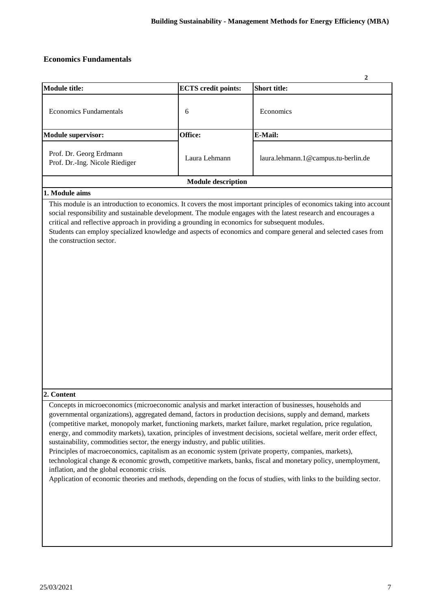## **Economics Fundamentals**

|                                                                                                                                                                                                                                                                                                                                                                                                                                                                                                                                                                                                                                                                                                                                                                                                                                                                                                                                                    |                            | 2                                                                                                              |
|----------------------------------------------------------------------------------------------------------------------------------------------------------------------------------------------------------------------------------------------------------------------------------------------------------------------------------------------------------------------------------------------------------------------------------------------------------------------------------------------------------------------------------------------------------------------------------------------------------------------------------------------------------------------------------------------------------------------------------------------------------------------------------------------------------------------------------------------------------------------------------------------------------------------------------------------------|----------------------------|----------------------------------------------------------------------------------------------------------------|
| <b>Module title:</b>                                                                                                                                                                                                                                                                                                                                                                                                                                                                                                                                                                                                                                                                                                                                                                                                                                                                                                                               | <b>ECTS</b> credit points: | <b>Short title:</b>                                                                                            |
| <b>Economics Fundamentals</b>                                                                                                                                                                                                                                                                                                                                                                                                                                                                                                                                                                                                                                                                                                                                                                                                                                                                                                                      | 6                          | Economics                                                                                                      |
| <b>Module supervisor:</b>                                                                                                                                                                                                                                                                                                                                                                                                                                                                                                                                                                                                                                                                                                                                                                                                                                                                                                                          | Office:                    | E-Mail:                                                                                                        |
| Prof. Dr. Georg Erdmann<br>Prof. Dr.-Ing. Nicole Riediger                                                                                                                                                                                                                                                                                                                                                                                                                                                                                                                                                                                                                                                                                                                                                                                                                                                                                          | Laura Lehmann              | laura.lehmann.1@campus.tu-berlin.de                                                                            |
|                                                                                                                                                                                                                                                                                                                                                                                                                                                                                                                                                                                                                                                                                                                                                                                                                                                                                                                                                    | <b>Module description</b>  |                                                                                                                |
| 1. Module aims                                                                                                                                                                                                                                                                                                                                                                                                                                                                                                                                                                                                                                                                                                                                                                                                                                                                                                                                     |                            |                                                                                                                |
| social responsibility and sustainable development. The module engages with the latest research and encourages a<br>critical and reflective approach in providing a grounding in economics for subsequent modules.<br>the construction sector.                                                                                                                                                                                                                                                                                                                                                                                                                                                                                                                                                                                                                                                                                                      |                            | Students can employ specialized knowledge and aspects of economics and compare general and selected cases from |
| 2. Content                                                                                                                                                                                                                                                                                                                                                                                                                                                                                                                                                                                                                                                                                                                                                                                                                                                                                                                                         |                            |                                                                                                                |
| Concepts in microeconomics (microeconomic analysis and market interaction of businesses, households and<br>governmental organizations), aggregated demand, factors in production decisions, supply and demand, markets<br>(competitive market, monopoly market, functioning markets, market failure, market regulation, price regulation,<br>energy, and commodity markets), taxation, principles of investment decisions, societal welfare, merit order effect,<br>sustainability, commodities sector, the energy industry, and public utilities.<br>Principles of macroeconomics, capitalism as an economic system (private property, companies, markets),<br>technological change & economic growth, competitive markets, banks, fiscal and monetary policy, unemployment,<br>inflation, and the global economic crisis.<br>Application of economic theories and methods, depending on the focus of studies, with links to the building sector. |                            |                                                                                                                |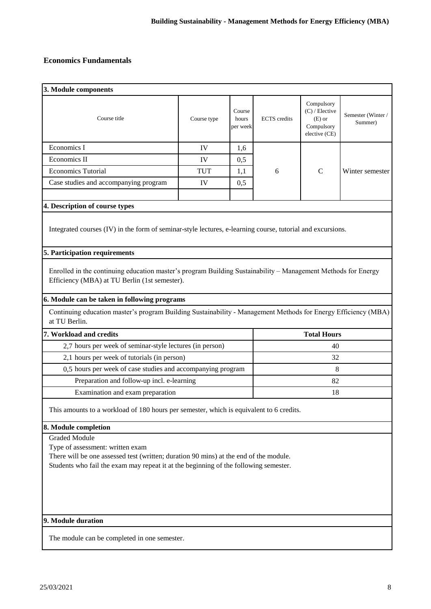## **Economics Fundamentals**

| 3. Module components                                                                                                                                                                                                                                                                                                                              |             |                             |                     |                                                                           |                              |  |
|---------------------------------------------------------------------------------------------------------------------------------------------------------------------------------------------------------------------------------------------------------------------------------------------------------------------------------------------------|-------------|-----------------------------|---------------------|---------------------------------------------------------------------------|------------------------------|--|
| Course title                                                                                                                                                                                                                                                                                                                                      | Course type | Course<br>hours<br>per week | <b>ECTS</b> credits | Compulsory<br>$(C)$ / Elective<br>$(E)$ or<br>Compulsory<br>elective (CE) | Semester (Winter/<br>Summer) |  |
| Economics I                                                                                                                                                                                                                                                                                                                                       | IV          | 1,6                         |                     |                                                                           |                              |  |
| Economics II                                                                                                                                                                                                                                                                                                                                      | IV          | 0,5                         |                     |                                                                           |                              |  |
| <b>Economics Tutorial</b>                                                                                                                                                                                                                                                                                                                         | <b>TUT</b>  | 1,1                         | 6                   | $\mathbf C$                                                               | Winter semester              |  |
| Case studies and accompanying program                                                                                                                                                                                                                                                                                                             | IV          | 0,5                         |                     |                                                                           |                              |  |
| 4. Description of course types                                                                                                                                                                                                                                                                                                                    |             |                             |                     |                                                                           |                              |  |
| Integrated courses (IV) in the form of seminar-style lectures, e-learning course, tutorial and excursions.                                                                                                                                                                                                                                        |             |                             |                     |                                                                           |                              |  |
| 5. Participation requirements                                                                                                                                                                                                                                                                                                                     |             |                             |                     |                                                                           |                              |  |
| Enrolled in the continuing education master's program Building Sustainability – Management Methods for Energy<br>Efficiency (MBA) at TU Berlin (1st semester).<br>6. Module can be taken in following programs<br>Continuing education master's program Building Sustainability - Management Methods for Energy Efficiency (MBA)<br>at TU Berlin. |             |                             |                     |                                                                           |                              |  |
| 7. Workload and credits                                                                                                                                                                                                                                                                                                                           |             |                             |                     | <b>Total Hours</b>                                                        |                              |  |
| 2,7 hours per week of seminar-style lectures (in person)                                                                                                                                                                                                                                                                                          |             |                             |                     | 40                                                                        |                              |  |
| 2,1 hours per week of tutorials (in person)                                                                                                                                                                                                                                                                                                       |             |                             | 32                  |                                                                           |                              |  |
| 0,5 hours per week of case studies and accompanying program                                                                                                                                                                                                                                                                                       |             |                             | 8                   |                                                                           |                              |  |
|                                                                                                                                                                                                                                                                                                                                                   |             |                             |                     |                                                                           |                              |  |
| Preparation and follow-up incl. e-learning                                                                                                                                                                                                                                                                                                        |             |                             | 82                  |                                                                           |                              |  |
| Examination and exam preparation                                                                                                                                                                                                                                                                                                                  |             |                             |                     | 18                                                                        |                              |  |
| This amounts to a workload of 180 hours per semester, which is equivalent to 6 credits.                                                                                                                                                                                                                                                           |             |                             |                     |                                                                           |                              |  |
| 8. Module completion                                                                                                                                                                                                                                                                                                                              |             |                             |                     |                                                                           |                              |  |
| <b>Graded Module</b>                                                                                                                                                                                                                                                                                                                              |             |                             |                     |                                                                           |                              |  |
| Type of assessment: written exam                                                                                                                                                                                                                                                                                                                  |             |                             |                     |                                                                           |                              |  |
| There will be one assessed test (written; duration 90 mins) at the end of the module.                                                                                                                                                                                                                                                             |             |                             |                     |                                                                           |                              |  |
| Students who fail the exam may repeat it at the beginning of the following semester.                                                                                                                                                                                                                                                              |             |                             |                     |                                                                           |                              |  |

## **9. Module duration**

The module can be completed in one semester.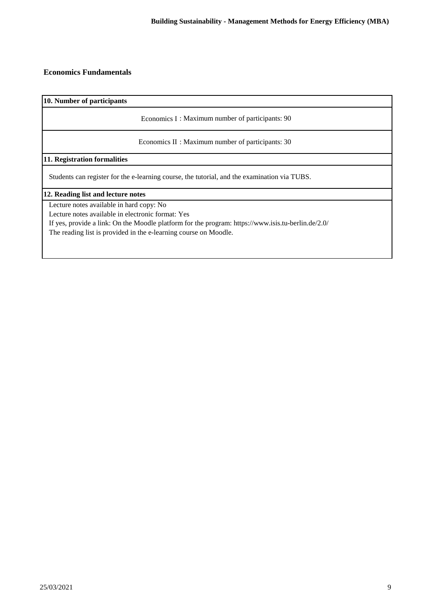### **Economics Fundamentals**

**10. Number of participants**

Economics I : Maximum number of participants: 90

Economics II : Maximum number of participants: 30

### **11. Registration formalities**

Students can register for the e-learning course, the tutorial, and the examination via TUBS.

#### **12. Reading list and lecture notes**

Lecture notes available in hard copy: No

Lecture notes available in electronic format: Yes

If yes, provide a link: On the Moodle platform for the program: https://www.isis.tu-berlin.de/2.0/ The reading list is provided in the e-learning course on Moodle.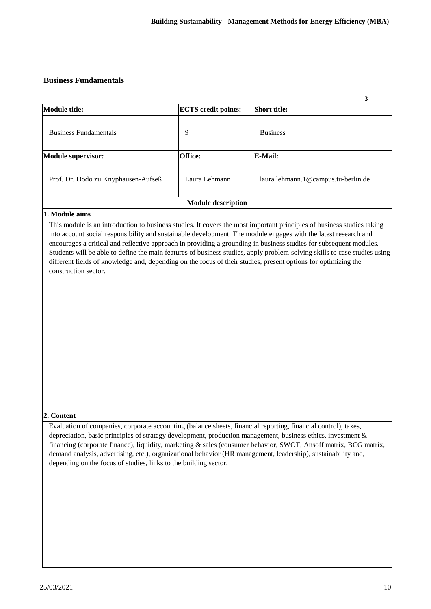### **Business Fundamentals**

| <b>Module title:</b>                | <b>ECTS</b> credit points: | 3<br><b>Short title:</b>            |
|-------------------------------------|----------------------------|-------------------------------------|
| <b>Business Fundamentals</b>        | 9                          | <b>Business</b>                     |
| <b>Module supervisor:</b>           | Office:                    | E-Mail:                             |
| Prof. Dr. Dodo zu Knyphausen-Aufseß | Laura Lehmann              | laura.lehmann.1@campus.tu-berlin.de |
|                                     | <b>Module description</b>  |                                     |

### **1. Module aims**

This module is an introduction to business studies. It covers the most important principles of business studies taking into account social responsibility and sustainable development. The module engages with the latest research and encourages a critical and reflective approach in providing a grounding in business studies for subsequent modules. Students will be able to define the main features of business studies, apply problem-solving skills to case studies using different fields of knowledge and, depending on the focus of their studies, present options for optimizing the construction sector.

#### **2. Content**

Evaluation of companies, corporate accounting (balance sheets, financial reporting, financial control), taxes, depreciation, basic principles of strategy development, production management, business ethics, investment & financing (corporate finance), liquidity, marketing & sales (consumer behavior, SWOT, Ansoff matrix, BCG matrix, demand analysis, advertising, etc.), organizational behavior (HR management, leadership), sustainability and, depending on the focus of studies, links to the building sector.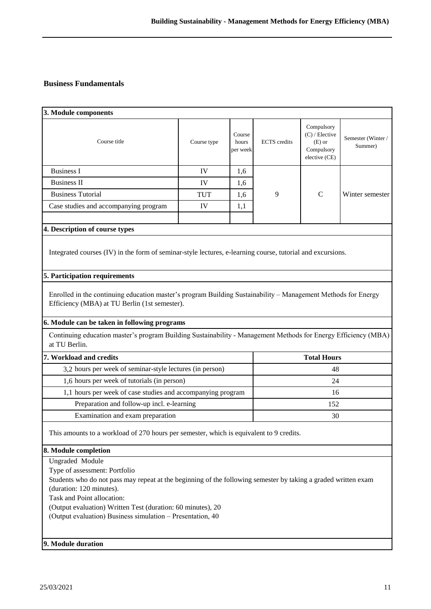## **Business Fundamentals**

| 3. Module components                                                                                                                                                                                                                                                                                                                                             |             |                             |                     |                                                                           |                              |  |
|------------------------------------------------------------------------------------------------------------------------------------------------------------------------------------------------------------------------------------------------------------------------------------------------------------------------------------------------------------------|-------------|-----------------------------|---------------------|---------------------------------------------------------------------------|------------------------------|--|
| Course title                                                                                                                                                                                                                                                                                                                                                     | Course type | Course<br>hours<br>per week | <b>ECTS</b> credits | Compulsory<br>$(C)$ / Elective<br>$(E)$ or<br>Compulsory<br>elective (CE) | Semester (Winter/<br>Summer) |  |
| <b>Business I</b>                                                                                                                                                                                                                                                                                                                                                | IV          | 1,6                         |                     |                                                                           |                              |  |
| <b>Business II</b>                                                                                                                                                                                                                                                                                                                                               | IV          | 1,6                         |                     |                                                                           |                              |  |
| <b>Business Tutorial</b>                                                                                                                                                                                                                                                                                                                                         | <b>TUT</b>  | 1,6                         | 9                   | $\mathcal{C}$                                                             | Winter semester              |  |
| Case studies and accompanying program                                                                                                                                                                                                                                                                                                                            | IV          | 1,1                         |                     |                                                                           |                              |  |
| 4. Description of course types                                                                                                                                                                                                                                                                                                                                   |             |                             |                     |                                                                           |                              |  |
| Integrated courses (IV) in the form of seminar-style lectures, e-learning course, tutorial and excursions.                                                                                                                                                                                                                                                       |             |                             |                     |                                                                           |                              |  |
| 5. Participation requirements                                                                                                                                                                                                                                                                                                                                    |             |                             |                     |                                                                           |                              |  |
| Enrolled in the continuing education master's program Building Sustainability – Management Methods for Energy<br>Efficiency (MBA) at TU Berlin (1st semester).                                                                                                                                                                                                   |             |                             |                     |                                                                           |                              |  |
| 6. Module can be taken in following programs                                                                                                                                                                                                                                                                                                                     |             |                             |                     |                                                                           |                              |  |
| Continuing education master's program Building Sustainability - Management Methods for Energy Efficiency (MBA)<br>at TU Berlin.                                                                                                                                                                                                                                  |             |                             |                     |                                                                           |                              |  |
| 7. Workload and credits<br><b>Total Hours</b>                                                                                                                                                                                                                                                                                                                    |             |                             |                     |                                                                           |                              |  |
| 3,2 hours per week of seminar-style lectures (in person)<br>48                                                                                                                                                                                                                                                                                                   |             |                             |                     |                                                                           |                              |  |
| 1,6 hours per week of tutorials (in person)                                                                                                                                                                                                                                                                                                                      |             |                             |                     | 24                                                                        |                              |  |
| 1,1 hours per week of case studies and accompanying program                                                                                                                                                                                                                                                                                                      |             |                             |                     | 16                                                                        |                              |  |
| Preparation and follow-up incl. e-learning                                                                                                                                                                                                                                                                                                                       |             |                             |                     | 152                                                                       |                              |  |
| Examination and exam preparation                                                                                                                                                                                                                                                                                                                                 |             |                             |                     | 30                                                                        |                              |  |
| This amounts to a workload of 270 hours per semester, which is equivalent to 9 credits.                                                                                                                                                                                                                                                                          |             |                             |                     |                                                                           |                              |  |
| 8. Module completion                                                                                                                                                                                                                                                                                                                                             |             |                             |                     |                                                                           |                              |  |
| <b>Ungraded Module</b><br>Type of assessment: Portfolio<br>Students who do not pass may repeat at the beginning of the following semester by taking a graded written exam<br>(duration: 120 minutes).<br>Task and Point allocation:<br>(Output evaluation) Written Test (duration: 60 minutes), 20<br>(Output evaluation) Business simulation - Presentation, 40 |             |                             |                     |                                                                           |                              |  |
| 9. Module duration                                                                                                                                                                                                                                                                                                                                               |             |                             |                     |                                                                           |                              |  |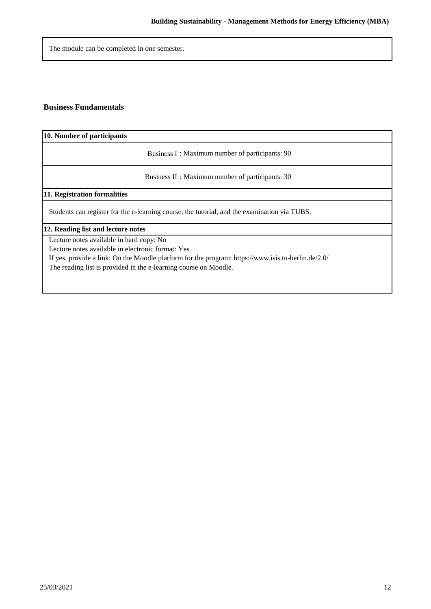The module can be completed in one semester.

### **Business Fundamentals**

**10. Number of participants**

Business I : Maximum number of participants: 90

Business II : Maximum number of participants: 30

**11. Registration formalities**

Students can register for the e-learning course, the tutorial, and the examination via TUBS.

#### **12. Reading list and lecture notes**

Lecture notes available in hard copy: No

Lecture notes available in electronic format: Yes

If yes, provide a link: On the Moodle platform for the program: https://www.isis.tu-berlin.de/2.0/

The reading list is provided in the e-learning course on Moodle.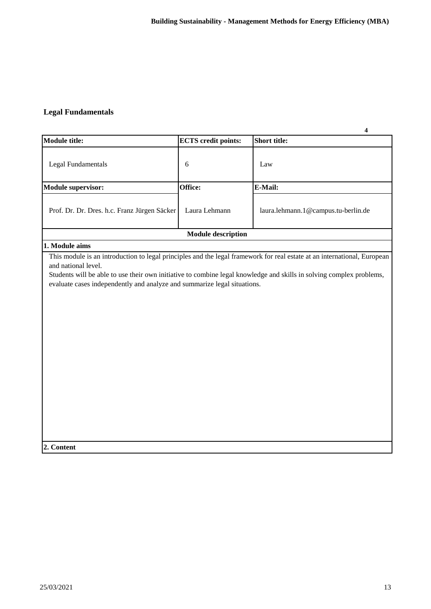## **Legal Fundamentals**

|                                                                                                               |                            | $\overline{\mathbf{4}}$                                                                                              |
|---------------------------------------------------------------------------------------------------------------|----------------------------|----------------------------------------------------------------------------------------------------------------------|
| <b>Module title:</b>                                                                                          | <b>ECTS</b> credit points: | <b>Short title:</b>                                                                                                  |
| <b>Legal Fundamentals</b>                                                                                     | 6                          | Law                                                                                                                  |
| <b>Module supervisor:</b>                                                                                     | Office:                    | E-Mail:                                                                                                              |
| Prof. Dr. Dr. Dres. h.c. Franz Jürgen Säcker                                                                  | Laura Lehmann              | laura.lehmann.1@campus.tu-berlin.de                                                                                  |
|                                                                                                               | <b>Module description</b>  |                                                                                                                      |
| 1. Module aims                                                                                                |                            |                                                                                                                      |
| and national level.<br>evaluate cases independently and analyze and summarize legal situations.<br>2. Content |                            | Students will be able to use their own initiative to combine legal knowledge and skills in solving complex problems, |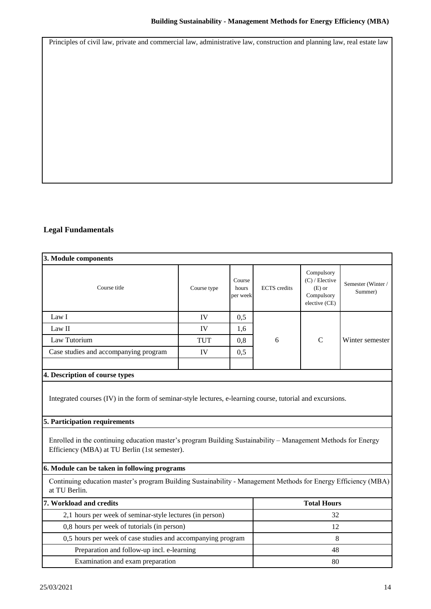Principles of civil law, private and commercial law, administrative law, construction and planning law, real estate law

## **Legal Fundamentals**

| 3. Module components                                                                                                                                           |             |                             |                     |                                                                           |                               |
|----------------------------------------------------------------------------------------------------------------------------------------------------------------|-------------|-----------------------------|---------------------|---------------------------------------------------------------------------|-------------------------------|
| Course title                                                                                                                                                   | Course type | Course<br>hours<br>per week | <b>ECTS</b> credits | Compulsory<br>$(C)$ / Elective<br>$(E)$ or<br>Compulsory<br>elective (CE) | Semester (Winter /<br>Summer) |
| Law I                                                                                                                                                          | IV          | 0,5                         |                     |                                                                           |                               |
| Law II                                                                                                                                                         | IV          | 1,6                         |                     |                                                                           |                               |
| Law Tutorium                                                                                                                                                   | <b>TUT</b>  | 0,8                         | 6                   | $\mathsf{C}$                                                              | Winter semester               |
| Case studies and accompanying program                                                                                                                          | IV          | 0,5                         |                     |                                                                           |                               |
| 4. Description of course types                                                                                                                                 |             |                             |                     |                                                                           |                               |
| Integrated courses (IV) in the form of seminar-style lectures, e-learning course, tutorial and excursions.                                                     |             |                             |                     |                                                                           |                               |
| 5. Participation requirements                                                                                                                                  |             |                             |                     |                                                                           |                               |
| Enrolled in the continuing education master's program Building Sustainability – Management Methods for Energy<br>Efficiency (MBA) at TU Berlin (1st semester). |             |                             |                     |                                                                           |                               |
| 6. Module can be taken in following programs                                                                                                                   |             |                             |                     |                                                                           |                               |
| Continuing education master's program Building Sustainability - Management Methods for Energy Efficiency (MBA)<br>at TU Berlin.                                |             |                             |                     |                                                                           |                               |
| 7. Workload and credits                                                                                                                                        |             |                             |                     | <b>Total Hours</b>                                                        |                               |
| 2,1 hours per week of seminar-style lectures (in person)                                                                                                       | 32          |                             |                     |                                                                           |                               |
| 0,8 hours per week of tutorials (in person)                                                                                                                    |             |                             | 12                  |                                                                           |                               |
| 0,5 hours per week of case studies and accompanying program                                                                                                    |             |                             | 8                   |                                                                           |                               |
| Preparation and follow-up incl. e-learning                                                                                                                     |             |                             | 48                  |                                                                           |                               |
| Examination and exam preparation                                                                                                                               |             |                             | 80                  |                                                                           |                               |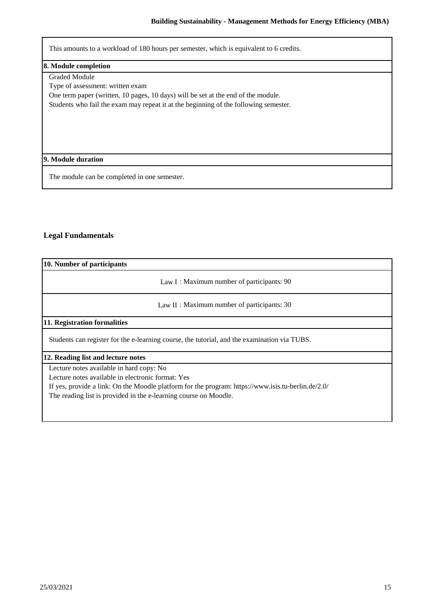This amounts to a workload of 180 hours per semester, which is equivalent to 6 credits.

#### **8. Module completion**

Graded Module

Type of assessment: written exam

One term paper (written, 10 pages, 10 days) will be set at the end of the module.

Students who fail the exam may repeat it at the beginning of the following semester.

### **9. Module duration**

The module can be completed in one semester.

### **Legal Fundamentals**

| 10. Number of participants                                                                         |  |  |  |  |  |
|----------------------------------------------------------------------------------------------------|--|--|--|--|--|
| Law I: Maximum number of participants: 90                                                          |  |  |  |  |  |
| Law $II:$ Maximum number of participants: 30                                                       |  |  |  |  |  |
| 11. Registration formalities                                                                       |  |  |  |  |  |
| Students can register for the e-learning course, the tutorial, and the examination via TUBS.       |  |  |  |  |  |
| 12. Reading list and lecture notes                                                                 |  |  |  |  |  |
| Lecture notes available in hard copy: No                                                           |  |  |  |  |  |
| Lecture notes available in electronic format: Yes                                                  |  |  |  |  |  |
| If yes, provide a link: On the Moodle platform for the program: https://www.isis.tu-berlin.de/2.0/ |  |  |  |  |  |
| The reading list is provided in the e-learning course on Moodle.                                   |  |  |  |  |  |
|                                                                                                    |  |  |  |  |  |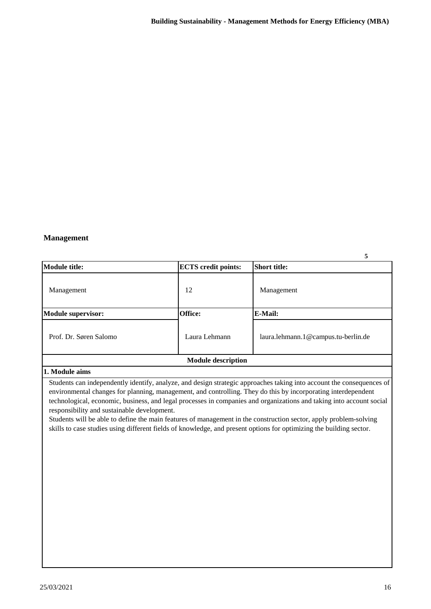### **Management**

|                           |                            | 5                                   |
|---------------------------|----------------------------|-------------------------------------|
| Module title:             | <b>ECTS</b> credit points: | <b>Short title:</b>                 |
| Management                | 12                         | Management                          |
| <b>Module supervisor:</b> | Office:                    | <b>E-Mail:</b>                      |
| Prof. Dr. Søren Salomo    | Laura Lehmann              | laura.lehmann.1@campus.tu-berlin.de |
|                           | <b>Module description</b>  |                                     |

#### **1. Module aims**

Students can independently identify, analyze, and design strategic approaches taking into account the consequences of environmental changes for planning, management, and controlling. They do this by incorporating interdependent technological, economic, business, and legal processes in companies and organizations and taking into account social responsibility and sustainable development.

Students will be able to define the main features of management in the construction sector, apply problem-solving skills to case studies using different fields of knowledge, and present options for optimizing the building sector.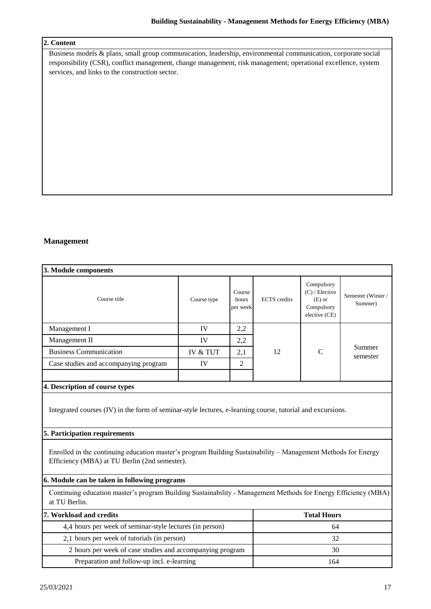### **2. Content**

Business models & plans, small group communication, leadership, environmental communication, corporate social responsibility (CSR), conflict management, change management, risk management; operational excellence, system services, and links to the construction sector.

### **Management**

| 3. Module components                                                                                                                                           |                     |                             |                     |                                                                           |                              |
|----------------------------------------------------------------------------------------------------------------------------------------------------------------|---------------------|-----------------------------|---------------------|---------------------------------------------------------------------------|------------------------------|
| Course title                                                                                                                                                   | Course type         | Course<br>hours<br>per week | <b>ECTS</b> credits | Compulsory<br>$(C)$ / Elective<br>$(E)$ or<br>Compulsory<br>elective (CE) | Semester (Winter/<br>Summer) |
| Management I                                                                                                                                                   | IV                  | 2,2                         |                     |                                                                           |                              |
| Management II                                                                                                                                                  | IV                  | 2,2                         |                     |                                                                           | Summer<br>semester           |
| <b>Business Communication</b>                                                                                                                                  | <b>IV &amp; TUT</b> | 2,1                         | 12                  | $\mathcal{C}$                                                             |                              |
| Case studies and accompanying program                                                                                                                          | IV                  | $\overline{c}$              |                     |                                                                           |                              |
|                                                                                                                                                                |                     |                             |                     |                                                                           |                              |
| 4. Description of course types                                                                                                                                 |                     |                             |                     |                                                                           |                              |
| Integrated courses (IV) in the form of seminar-style lectures, e-learning course, tutorial and excursions.<br>5. Participation requirements                    |                     |                             |                     |                                                                           |                              |
| Enrolled in the continuing education master's program Building Sustainability – Management Methods for Energy<br>Efficiency (MBA) at TU Berlin (2nd semester). |                     |                             |                     |                                                                           |                              |
| 6. Module can be taken in following programs                                                                                                                   |                     |                             |                     |                                                                           |                              |
| Continuing education master's program Building Sustainability - Management Methods for Energy Efficiency (MBA)<br>at TU Berlin.                                |                     |                             |                     |                                                                           |                              |
| 7. Workload and credits                                                                                                                                        |                     |                             | <b>Total Hours</b>  |                                                                           |                              |
| 4,4 hours per week of seminar-style lectures (in person)                                                                                                       |                     | 64                          |                     |                                                                           |                              |
| 2,1 hours per week of tutorials (in person)                                                                                                                    |                     | 32                          |                     |                                                                           |                              |
| 2 hours per week of case studies and accompanying program                                                                                                      |                     | 30                          |                     |                                                                           |                              |
| Preparation and follow-up incl. e-learning                                                                                                                     |                     | 164                         |                     |                                                                           |                              |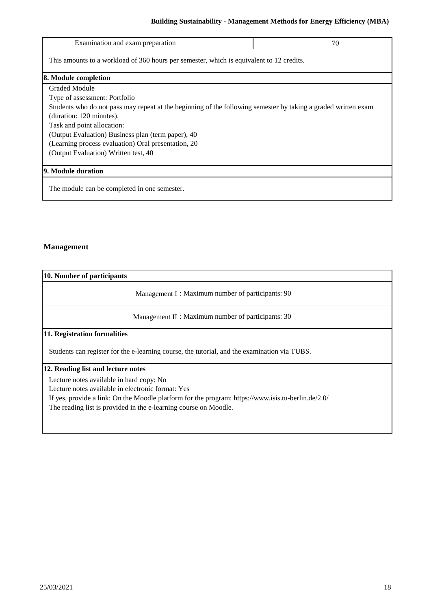## **Building Sustainability - Management Methods for Energy Efficiency (MBA)**

| Examination and exam preparation                                                                               | 70 |  |  |
|----------------------------------------------------------------------------------------------------------------|----|--|--|
| This amounts to a workload of 360 hours per semester, which is equivalent to 12 credits.                       |    |  |  |
| 8. Module completion                                                                                           |    |  |  |
| Graded Module                                                                                                  |    |  |  |
| Type of assessment: Portfolio                                                                                  |    |  |  |
| Students who do not pass may repeat at the beginning of the following semester by taking a graded written exam |    |  |  |
| (duration: 120 minutes).                                                                                       |    |  |  |
| Task and point allocation:                                                                                     |    |  |  |
| (Output Evaluation) Business plan (term paper), 40                                                             |    |  |  |
| (Learning process evaluation) Oral presentation, 20                                                            |    |  |  |
| (Output Evaluation) Written test, 40                                                                           |    |  |  |
|                                                                                                                |    |  |  |
| 9. Module duration                                                                                             |    |  |  |
| The module can be completed in one semester.                                                                   |    |  |  |

## **Management**

| 10. Number of participants                                                                                                                                                                                                                                              |  |  |  |
|-------------------------------------------------------------------------------------------------------------------------------------------------------------------------------------------------------------------------------------------------------------------------|--|--|--|
| Management I: Maximum number of participants: 90                                                                                                                                                                                                                        |  |  |  |
| Management II : Maximum number of participants: 30                                                                                                                                                                                                                      |  |  |  |
| 11. Registration formalities                                                                                                                                                                                                                                            |  |  |  |
| Students can register for the e-learning course, the tutorial, and the examination via TUBS.                                                                                                                                                                            |  |  |  |
| 12. Reading list and lecture notes                                                                                                                                                                                                                                      |  |  |  |
| Lecture notes available in hard copy: No<br>Lecture notes available in electronic format: Yes<br>If yes, provide a link: On the Moodle platform for the program: https://www.isis.tu-berlin.de/2.0/<br>The reading list is provided in the e-learning course on Moodle. |  |  |  |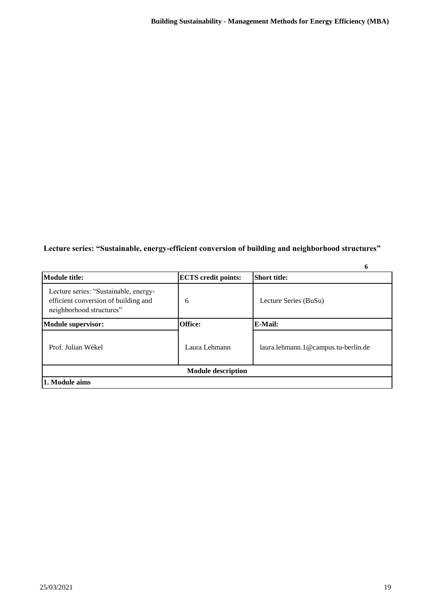## **Lecture series: "Sustainable, energy-efficient conversion of building and neighborhood structures"**

|                                                                                                           |                            | o                                   |
|-----------------------------------------------------------------------------------------------------------|----------------------------|-------------------------------------|
| <b>Module title:</b>                                                                                      | <b>ECTS</b> credit points: | <b>Short title:</b>                 |
| Lecture series: "Sustainable, energy-<br>efficient conversion of building and<br>neighborhood structures" | 6                          | Lecture Series (BuSu)               |
| <b>Module supervisor:</b>                                                                                 | Office:                    | <b>E-Mail:</b>                      |
| Prof. Julian Wékel                                                                                        | Laura Lehmann              | laura.lehmann.1@campus.tu-berlin.de |
|                                                                                                           | <b>Module description</b>  |                                     |
| 1. Module aims                                                                                            |                            |                                     |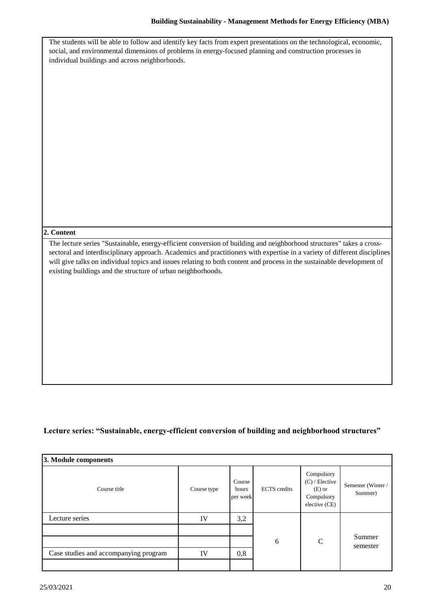| The students will be able to follow and identify key facts from expert presentations on the technological, economic,<br>social, and environmental dimensions of problems in energy-focused planning and construction processes in<br>individual buildings and across neighborhoods.                                                                                                                                                         |
|---------------------------------------------------------------------------------------------------------------------------------------------------------------------------------------------------------------------------------------------------------------------------------------------------------------------------------------------------------------------------------------------------------------------------------------------|
| 2. Content                                                                                                                                                                                                                                                                                                                                                                                                                                  |
| The lecture series "Sustainable, energy-efficient conversion of building and neighborhood structures" takes a cross-<br>sectoral and interdisciplinary approach. Academics and practitioners with expertise in a variety of different disciplines<br>will give talks on individual topics and issues relating to both content and process in the sustainable development of<br>existing buildings and the structure of urban neighborhoods. |

## **Lecture series: "Sustainable, energy-efficient conversion of building and neighborhood structures"**

| 3. Module components                  |             |                             |                     |                                                                           |                              |
|---------------------------------------|-------------|-----------------------------|---------------------|---------------------------------------------------------------------------|------------------------------|
| Course title                          | Course type | Course<br>hours<br>per week | <b>ECTS</b> credits | Compulsory<br>$(C)$ / Elective<br>$(E)$ or<br>Compulsory<br>elective (CE) | Semester (Winter/<br>Summer) |
| Lecture series                        | IV          | 3,2                         |                     |                                                                           |                              |
|                                       |             |                             |                     |                                                                           |                              |
|                                       |             |                             | 6                   | $\mathcal{C}$                                                             | Summer<br>semester           |
| Case studies and accompanying program | IV          | 0,8                         |                     |                                                                           |                              |
|                                       |             |                             |                     |                                                                           |                              |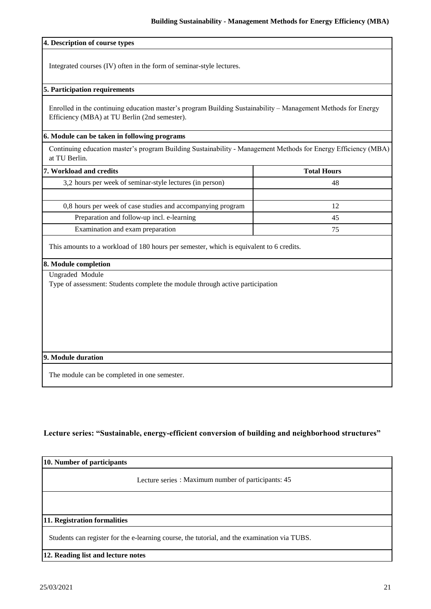#### **4. Description of course types**

Integrated courses (IV) often in the form of seminar-style lectures.

#### **5. Participation requirements**

Enrolled in the continuing education master's program Building Sustainability – Management Methods for Energy Efficiency (MBA) at TU Berlin (2nd semester).

#### **6. Module can be taken in following programs**

Continuing education master's program Building Sustainability - Management Methods for Energy Efficiency (MBA) at TU Berlin.

| 7. Workload and credits                                     | <b>Total Hours</b> |
|-------------------------------------------------------------|--------------------|
| 3,2 hours per week of seminar-style lectures (in person)    | 48                 |
|                                                             |                    |
| 0,8 hours per week of case studies and accompanying program |                    |
| Preparation and follow-up incl. e-learning                  | 45                 |
| Examination and exam preparation                            | 75                 |

This amounts to a workload of 180 hours per semester, which is equivalent to 6 credits.

## **8. Module completion**

Ungraded Module

Type of assessment: Students complete the module through active participation

#### **9. Module duration**

The module can be completed in one semester.

### **Lecture series: "Sustainable, energy-efficient conversion of building and neighborhood structures"**

| 10. Number of participants   |                                                                                              |
|------------------------------|----------------------------------------------------------------------------------------------|
|                              | Lecture series : Maximum number of participants: 45                                          |
|                              |                                                                                              |
| 11. Registration formalities |                                                                                              |
|                              | Students can register for the e-learning course, the tutorial, and the examination via TUBS. |

## **12. Reading list and lecture notes**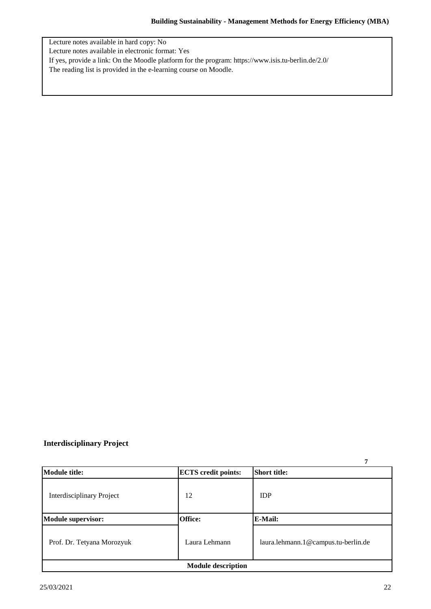Lecture notes available in hard copy: No

Lecture notes available in electronic format: Yes

If yes, provide a link: On the Moodle platform for the program: https://www.isis.tu-berlin.de/2.0/

The reading list is provided in the e-learning course on Moodle.

## **Interdisciplinary Project**

|                                  |                            | 7                                   |  |
|----------------------------------|----------------------------|-------------------------------------|--|
| <b>Module title:</b>             | <b>ECTS</b> credit points: | <b>Short title:</b>                 |  |
| <b>Interdisciplinary Project</b> | 12                         | <b>IDP</b>                          |  |
| <b>Module supervisor:</b>        | Office:                    | E-Mail:                             |  |
| Prof. Dr. Tetyana Morozyuk       | Laura Lehmann              | laura.lehmann.1@campus.tu-berlin.de |  |
| <b>Module description</b>        |                            |                                     |  |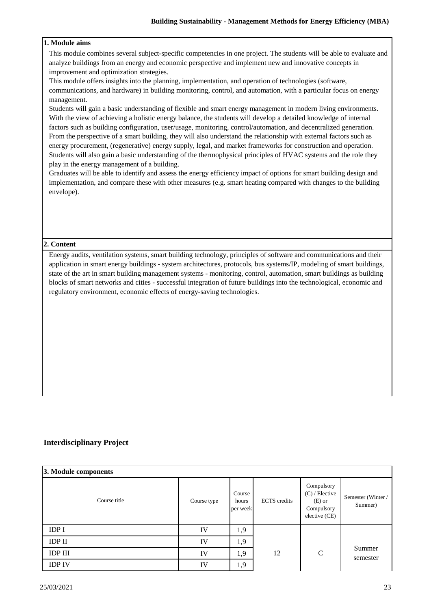### **1. Module aims**

This module combines several subject-specific competencies in one project. The students will be able to evaluate and analyze buildings from an energy and economic perspective and implement new and innovative concepts in improvement and optimization strategies.

This module offers insights into the planning, implementation, and operation of technologies (software, communications, and hardware) in building monitoring, control, and automation, with a particular focus on energy management.

Students will gain a basic understanding of flexible and smart energy management in modern living environments. With the view of achieving a holistic energy balance, the students will develop a detailed knowledge of internal factors such as building configuration, user/usage, monitoring, control/automation, and decentralized generation. From the perspective of a smart building, they will also understand the relationship with external factors such as energy procurement, (regenerative) energy supply, legal, and market frameworks for construction and operation. Students will also gain a basic understanding of the thermophysical principles of HVAC systems and the role they play in the energy management of a building.

Graduates will be able to identify and assess the energy efficiency impact of options for smart building design and implementation, and compare these with other measures (e.g. smart heating compared with changes to the building envelope).

#### **2. Content**

Energy audits, ventilation systems, smart building technology, principles of software and communications and their application in smart energy buildings - system architectures, protocols, bus systems/IP, modeling of smart buildings, state of the art in smart building management systems - monitoring, control, automation, smart buildings as building blocks of smart networks and cities - successful integration of future buildings into the technological, economic and regulatory environment, economic effects of energy-saving technologies.

### **Interdisciplinary Project**

| 3. Module components |             |                             |                     |                                                                           |                              |
|----------------------|-------------|-----------------------------|---------------------|---------------------------------------------------------------------------|------------------------------|
| Course title         | Course type | Course<br>hours<br>per week | <b>ECTS</b> credits | Compulsory<br>$(C)$ / Elective<br>$(E)$ or<br>Compulsory<br>elective (CE) | Semester (Winter/<br>Summer) |
| <b>IDP I</b>         | IV          | 1,9                         |                     |                                                                           |                              |
| <b>IDP II</b>        | IV          | 1,9                         |                     |                                                                           |                              |
| <b>IDP III</b>       | IV          | 1,9                         | 12                  | $\mathbf C$                                                               | Summer<br>semester           |
| <b>IDP IV</b>        | IV          | 1,9                         |                     |                                                                           |                              |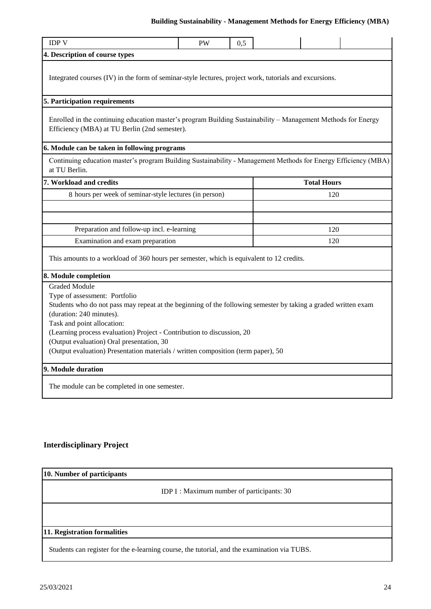#### **Building Sustainability - Management Methods for Energy Efficiency (MBA)** ency (IVII

| <b>IDP V</b>                                                                                                                                                   | <b>PW</b> | 0,5 |  |                    |  |
|----------------------------------------------------------------------------------------------------------------------------------------------------------------|-----------|-----|--|--------------------|--|
| 4. Description of course types                                                                                                                                 |           |     |  |                    |  |
| Integrated courses (IV) in the form of seminar-style lectures, project work, tutorials and excursions.                                                         |           |     |  |                    |  |
| 5. Participation requirements                                                                                                                                  |           |     |  |                    |  |
| Enrolled in the continuing education master's program Building Sustainability - Management Methods for Energy<br>Efficiency (MBA) at TU Berlin (2nd semester). |           |     |  |                    |  |
| 6. Module can be taken in following programs                                                                                                                   |           |     |  |                    |  |
| Continuing education master's program Building Sustainability - Management Methods for Energy Efficiency (MBA)<br>at TU Berlin.                                |           |     |  |                    |  |
| 7. Workload and credits                                                                                                                                        |           |     |  | <b>Total Hours</b> |  |
| 8 hours per week of seminar-style lectures (in person)                                                                                                         |           |     |  | 120                |  |
|                                                                                                                                                                |           |     |  |                    |  |
| Preparation and follow-up incl. e-learning                                                                                                                     |           |     |  | 120                |  |
| Examination and exam preparation<br>120                                                                                                                        |           |     |  |                    |  |
| This amounts to a workload of 360 hours per semester, which is equivalent to 12 credits.                                                                       |           |     |  |                    |  |
| 8. Module completion                                                                                                                                           |           |     |  |                    |  |
| <b>Graded Module</b>                                                                                                                                           |           |     |  |                    |  |
| Type of assessment: Portfolio                                                                                                                                  |           |     |  |                    |  |
| Students who do not pass may repeat at the beginning of the following semester by taking a graded written exam                                                 |           |     |  |                    |  |
| (duration: 240 minutes).<br>Task and point allocation:                                                                                                         |           |     |  |                    |  |
| (Learning process evaluation) Project - Contribution to discussion, 20                                                                                         |           |     |  |                    |  |
| (Output evaluation) Oral presentation, 30                                                                                                                      |           |     |  |                    |  |
| (Output evaluation) Presentation materials / written composition (term paper), 50                                                                              |           |     |  |                    |  |
| 9. Module duration                                                                                                                                             |           |     |  |                    |  |
| The module can be completed in one semester.                                                                                                                   |           |     |  |                    |  |

## **Interdisciplinary Project**

## **10. Number of participants**

IDP I : Maximum number of participants: 30

#### **11. Registration formalities**

Students can register for the e-learning course, the tutorial, and the examination via TUBS.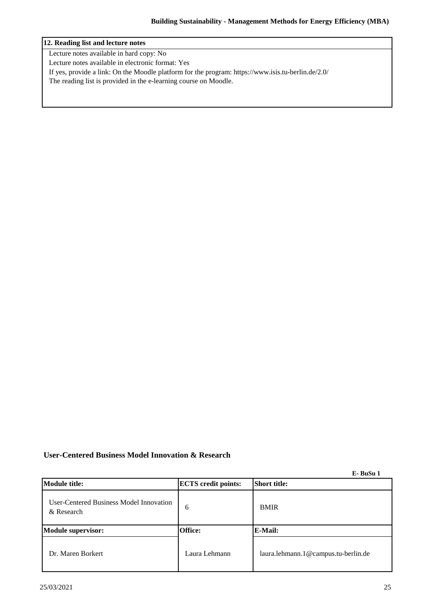### **12. Reading list and lecture notes**

Lecture notes available in hard copy: No

Lecture notes available in electronic format: Yes

If yes, provide a link: On the Moodle platform for the program: https://www.isis.tu-berlin.de/2.0/

The reading list is provided in the e-learning course on Moodle.

## **User-Centered Business Model Innovation & Research**

**E- BuSu 1**

| <b>Module title:</b>                                  | <b>ECTS</b> credit points: | <b>Short title:</b>                 |
|-------------------------------------------------------|----------------------------|-------------------------------------|
| User-Centered Business Model Innovation<br>& Research | 6                          | <b>BMIR</b>                         |
| Module supervisor:                                    | <b>Office:</b>             | E-Mail:                             |
| Dr. Maren Borkert                                     | Laura Lehmann              | laura.lehmann.1@campus.tu-berlin.de |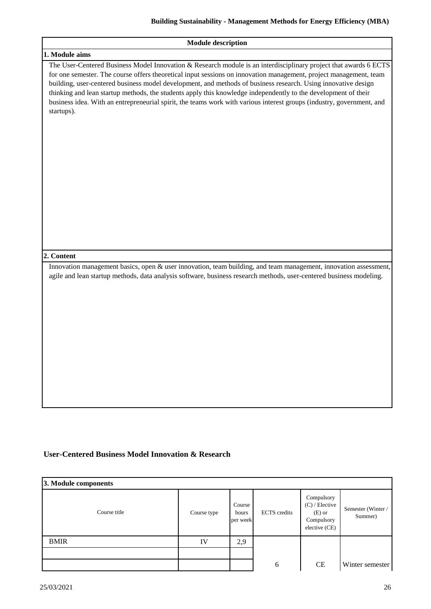| <b>Module description</b>                                                                                                                                                                                                                                                                                                                                                                                                                                                                                                                                                                                       |
|-----------------------------------------------------------------------------------------------------------------------------------------------------------------------------------------------------------------------------------------------------------------------------------------------------------------------------------------------------------------------------------------------------------------------------------------------------------------------------------------------------------------------------------------------------------------------------------------------------------------|
| 1. Module aims                                                                                                                                                                                                                                                                                                                                                                                                                                                                                                                                                                                                  |
| The User-Centered Business Model Innovation & Research module is an interdisciplinary project that awards 6 ECTS<br>for one semester. The course offers theoretical input sessions on innovation management, project management, team<br>building, user-centered business model development, and methods of business research. Using innovative design<br>thinking and lean startup methods, the students apply this knowledge independently to the development of their<br>business idea. With an entrepreneurial spirit, the teams work with various interest groups (industry, government, and<br>startups). |
| 2. Content                                                                                                                                                                                                                                                                                                                                                                                                                                                                                                                                                                                                      |
| Innovation management basics, open & user innovation, team building, and team management, innovation assessment,<br>agile and lean startup methods, data analysis software, business research methods, user-centered business modeling.                                                                                                                                                                                                                                                                                                                                                                         |

## **User-Centered Business Model Innovation & Research**

| 3. Module components |             |                             |                     |                                                                           |                              |
|----------------------|-------------|-----------------------------|---------------------|---------------------------------------------------------------------------|------------------------------|
| Course title         | Course type | Course<br>hours<br>per week | <b>ECTS</b> credits | Compulsory<br>$(C)$ / Elective<br>$(E)$ or<br>Compulsory<br>elective (CE) | Semester (Winter/<br>Summer) |
| <b>BMIR</b>          | IV          | 2,9                         |                     |                                                                           |                              |
|                      |             |                             |                     |                                                                           |                              |
|                      |             |                             | 6                   | <b>CE</b>                                                                 | Winter semester              |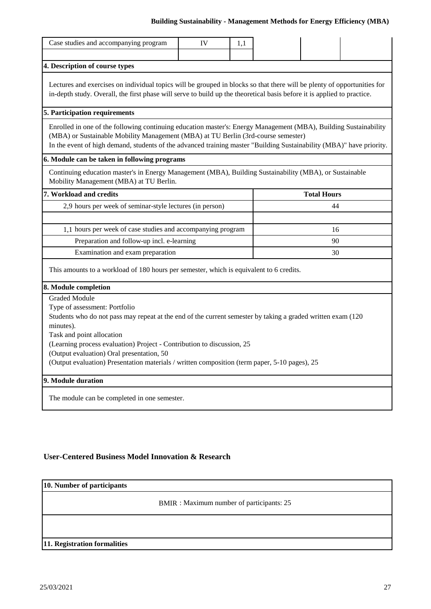## **Building Sustainability - Management Methods for Energy Efficiency (MBA)**

| Case studies and accompanying program                                                                                                                                                                                                                                                                                         | IV | 1,1 |  |  |  |  |  |  |  |
|-------------------------------------------------------------------------------------------------------------------------------------------------------------------------------------------------------------------------------------------------------------------------------------------------------------------------------|----|-----|--|--|--|--|--|--|--|
|                                                                                                                                                                                                                                                                                                                               |    |     |  |  |  |  |  |  |  |
| 4. Description of course types                                                                                                                                                                                                                                                                                                |    |     |  |  |  |  |  |  |  |
| Lectures and exercises on individual topics will be grouped in blocks so that there will be plenty of opportunities for<br>in-depth study. Overall, the first phase will serve to build up the theoretical basis before it is applied to practice.                                                                            |    |     |  |  |  |  |  |  |  |
| 5. Participation requirements                                                                                                                                                                                                                                                                                                 |    |     |  |  |  |  |  |  |  |
| Enrolled in one of the following continuing education master's: Energy Management (MBA), Building Sustainability<br>(MBA) or Sustainable Mobility Management (MBA) at TU Berlin (3rd-course semester)<br>In the event of high demand, students of the advanced training master "Building Sustainability (MBA)" have priority. |    |     |  |  |  |  |  |  |  |
| 6. Module can be taken in following programs                                                                                                                                                                                                                                                                                  |    |     |  |  |  |  |  |  |  |
| Continuing education master's in Energy Management (MBA), Building Sustainability (MBA), or Sustainable<br>Mobility Management (MBA) at TU Berlin.                                                                                                                                                                            |    |     |  |  |  |  |  |  |  |
| 7. Workload and credits<br><b>Total Hours</b>                                                                                                                                                                                                                                                                                 |    |     |  |  |  |  |  |  |  |
| 2,9 hours per week of seminar-style lectures (in person)<br>44                                                                                                                                                                                                                                                                |    |     |  |  |  |  |  |  |  |
|                                                                                                                                                                                                                                                                                                                               |    |     |  |  |  |  |  |  |  |
| 1,1 hours per week of case studies and accompanying program<br>16                                                                                                                                                                                                                                                             |    |     |  |  |  |  |  |  |  |
| Preparation and follow-up incl. e-learning<br>90                                                                                                                                                                                                                                                                              |    |     |  |  |  |  |  |  |  |
| Examination and exam preparation<br>30                                                                                                                                                                                                                                                                                        |    |     |  |  |  |  |  |  |  |
| This amounts to a workload of 180 hours per semester, which is equivalent to 6 credits.                                                                                                                                                                                                                                       |    |     |  |  |  |  |  |  |  |
| 8. Module completion                                                                                                                                                                                                                                                                                                          |    |     |  |  |  |  |  |  |  |
| <b>Graded Module</b>                                                                                                                                                                                                                                                                                                          |    |     |  |  |  |  |  |  |  |
| Type of assessment: Portfolio                                                                                                                                                                                                                                                                                                 |    |     |  |  |  |  |  |  |  |
| Students who do not pass may repeat at the end of the current semester by taking a graded written exam (120)<br>minutes).                                                                                                                                                                                                     |    |     |  |  |  |  |  |  |  |
| Task and point allocation                                                                                                                                                                                                                                                                                                     |    |     |  |  |  |  |  |  |  |
| (Learning process evaluation) Project - Contribution to discussion, 25                                                                                                                                                                                                                                                        |    |     |  |  |  |  |  |  |  |
| (Output evaluation) Oral presentation, 50                                                                                                                                                                                                                                                                                     |    |     |  |  |  |  |  |  |  |
| (Output evaluation) Presentation materials / written composition (term paper, 5-10 pages), 25                                                                                                                                                                                                                                 |    |     |  |  |  |  |  |  |  |
| 9. Module duration                                                                                                                                                                                                                                                                                                            |    |     |  |  |  |  |  |  |  |
| The module can be completed in one semester.                                                                                                                                                                                                                                                                                  |    |     |  |  |  |  |  |  |  |

## **User-Centered Business Model Innovation & Research**

## **10. Number of participants**

BMIR : Maximum number of participants: 25

## **11. Registration formalities**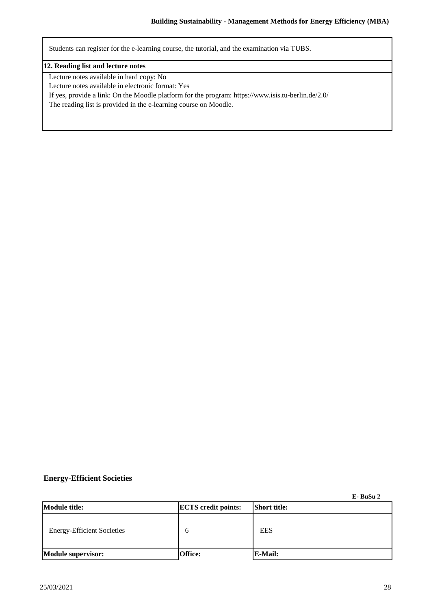Students can register for the e-learning course, the tutorial, and the examination via TUBS.

### **12. Reading list and lecture notes**

Lecture notes available in hard copy: No

Lecture notes available in electronic format: Yes

If yes, provide a link: On the Moodle platform for the program: https://www.isis.tu-berlin.de/2.0/

The reading list is provided in the e-learning course on Moodle.

## **Energy-Efficient Societies**

**E- BuSu 2**

| Module title:                     | <b>ECTS</b> credit points: | <b>Short title:</b> |
|-----------------------------------|----------------------------|---------------------|
| <b>Energy-Efficient Societies</b> | n                          | <b>EES</b>          |
| Module supervisor:                | Office:                    | E-Mail:             |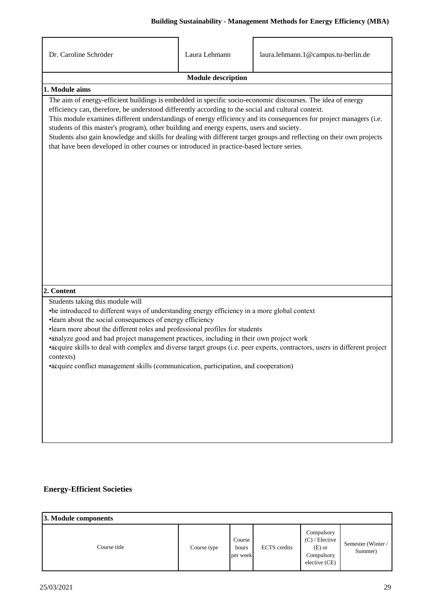| Dr. Caroline Schröder                                                                                                                                                                                                                                                                                                                                                                                                                                                                                                                                                                                                                                                    | Laura Lehmann             | laura.lehmann.1@campus.tu-berlin.de                                                                                        |  |  |  |  |  |  |
|--------------------------------------------------------------------------------------------------------------------------------------------------------------------------------------------------------------------------------------------------------------------------------------------------------------------------------------------------------------------------------------------------------------------------------------------------------------------------------------------------------------------------------------------------------------------------------------------------------------------------------------------------------------------------|---------------------------|----------------------------------------------------------------------------------------------------------------------------|--|--|--|--|--|--|
|                                                                                                                                                                                                                                                                                                                                                                                                                                                                                                                                                                                                                                                                          | <b>Module description</b> |                                                                                                                            |  |  |  |  |  |  |
| 1. Module aims                                                                                                                                                                                                                                                                                                                                                                                                                                                                                                                                                                                                                                                           |                           |                                                                                                                            |  |  |  |  |  |  |
| The aim of energy-efficient buildings is embedded in specific socio-economic discourses. The idea of energy<br>efficiency can, therefore, be understood differently according to the social and cultural context.<br>This module examines different understandings of energy efficiency and its consequences for project managers (i.e.<br>students of this master's program), other building and energy experts, users and society.<br>Students also gain knowledge and skills for dealing with different target groups and reflecting on their own projects<br>that have been developed in other courses or introduced in practice-based lecture series.<br>2. Content |                           |                                                                                                                            |  |  |  |  |  |  |
|                                                                                                                                                                                                                                                                                                                                                                                                                                                                                                                                                                                                                                                                          |                           |                                                                                                                            |  |  |  |  |  |  |
| Students taking this module will<br>• be introduced to different ways of understanding energy efficiency in a more global context<br>·learn about the social consequences of energy efficiency<br>·learn more about the different roles and professional profiles for students<br>·ahalyze good and bad project management practices, including in their own project work<br>contexts)<br>·acquire conflict management skills (communication, participation, and cooperation)                                                                                                                                                                                            |                           | •acquire skills to deal with complex and diverse target groups (i.e. peer experts, contractors, users in different project |  |  |  |  |  |  |

## **Energy-Efficient Societies**

| 3. Module components |             |                             |                     |                                                                           |                              |
|----------------------|-------------|-----------------------------|---------------------|---------------------------------------------------------------------------|------------------------------|
| Course title         | Course type | Course<br>hours<br>per week | <b>ECTS</b> credits | Compulsory<br>$(C)$ / Elective<br>$(E)$ or<br>Compulsory<br>elective (CE) | Semester (Winter/<br>Summer) |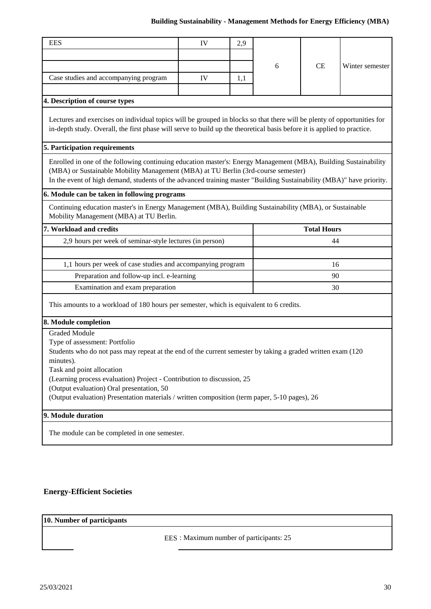## **Building Sustainability - Management Methods for Energy Efficiency (MBA)**

| <b>EES</b>                                                                                                                                                                                                                                         | IV | 2,9 |   |                    |                 |
|----------------------------------------------------------------------------------------------------------------------------------------------------------------------------------------------------------------------------------------------------|----|-----|---|--------------------|-----------------|
|                                                                                                                                                                                                                                                    |    |     |   |                    |                 |
|                                                                                                                                                                                                                                                    |    |     | 6 | <b>CE</b>          | Winter semester |
| Case studies and accompanying program                                                                                                                                                                                                              | IV | 1,1 |   |                    |                 |
| 4. Description of course types                                                                                                                                                                                                                     |    |     |   |                    |                 |
| Lectures and exercises on individual topics will be grouped in blocks so that there will be plenty of opportunities for<br>in-depth study. Overall, the first phase will serve to build up the theoretical basis before it is applied to practice. |    |     |   |                    |                 |
| 5. Participation requirements                                                                                                                                                                                                                      |    |     |   |                    |                 |
|                                                                                                                                                                                                                                                    |    |     |   |                    |                 |
| Enrolled in one of the following continuing education master's: Energy Management (MBA), Building Sustainability<br>(MBA) or Sustainable Mobility Management (MBA) at TU Berlin (3rd-course semester)                                              |    |     |   |                    |                 |
| In the event of high demand, students of the advanced training master "Building Sustainability (MBA)" have priority.                                                                                                                               |    |     |   |                    |                 |
| 6. Module can be taken in following programs                                                                                                                                                                                                       |    |     |   |                    |                 |
| Continuing education master's in Energy Management (MBA), Building Sustainability (MBA), or Sustainable<br>Mobility Management (MBA) at TU Berlin.                                                                                                 |    |     |   |                    |                 |
| 7. Workload and credits                                                                                                                                                                                                                            |    |     |   | <b>Total Hours</b> |                 |
| 2,9 hours per week of seminar-style lectures (in person)<br>44                                                                                                                                                                                     |    |     |   |                    |                 |
|                                                                                                                                                                                                                                                    |    |     |   |                    |                 |
| 1,1 hours per week of case studies and accompanying program                                                                                                                                                                                        |    |     |   | 16                 |                 |
| Preparation and follow-up incl. e-learning                                                                                                                                                                                                         |    |     |   | 90                 |                 |
| Examination and exam preparation                                                                                                                                                                                                                   |    |     |   | 30                 |                 |
| This amounts to a workload of 180 hours per semester, which is equivalent to 6 credits.                                                                                                                                                            |    |     |   |                    |                 |
| 8. Module completion                                                                                                                                                                                                                               |    |     |   |                    |                 |
| <b>Graded Module</b>                                                                                                                                                                                                                               |    |     |   |                    |                 |
| Type of assessment: Portfolio<br>Students who do not pass may repeat at the end of the current semester by taking a graded written exam (120)<br>minutes).                                                                                         |    |     |   |                    |                 |
| Task and point allocation                                                                                                                                                                                                                          |    |     |   |                    |                 |
| (Learning process evaluation) Project - Contribution to discussion, 25                                                                                                                                                                             |    |     |   |                    |                 |
| (Output evaluation) Oral presentation, 50<br>(Output evaluation) Presentation materials / written composition (term paper, 5-10 pages), 26                                                                                                         |    |     |   |                    |                 |
|                                                                                                                                                                                                                                                    |    |     |   |                    |                 |
| 9. Module duration                                                                                                                                                                                                                                 |    |     |   |                    |                 |
| The module can be completed in one semester.                                                                                                                                                                                                       |    |     |   |                    |                 |
|                                                                                                                                                                                                                                                    |    |     |   |                    |                 |

## **Energy-Efficient Societies**

## **10. Number of participants**

EES : Maximum number of participants: 25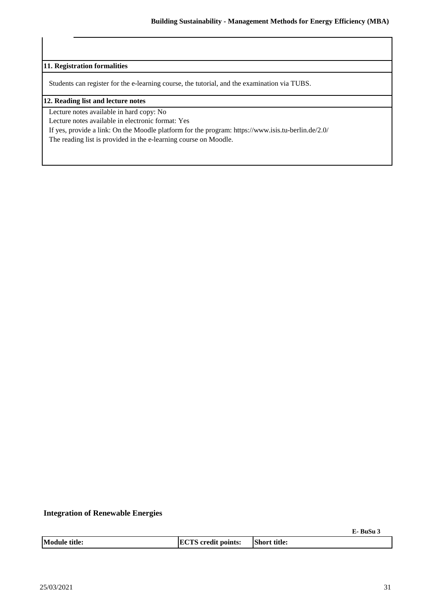**11. Registration formalities**

Students can register for the e-learning course, the tutorial, and the examination via TUBS.

#### **12. Reading list and lecture notes**

Lecture notes available in hard copy: No

Lecture notes available in electronic format: Yes

If yes, provide a link: On the Moodle platform for the program: https://www.isis.tu-berlin.de/2.0/

The reading list is provided in the e-learning course on Moodle.

#### **Integration of Renewable Energies**

**E- BuSu 3**

|  | <b>Module title:</b> | <b>ECTS</b> credit points: | <b>Short title:</b> |
|--|----------------------|----------------------------|---------------------|
|--|----------------------|----------------------------|---------------------|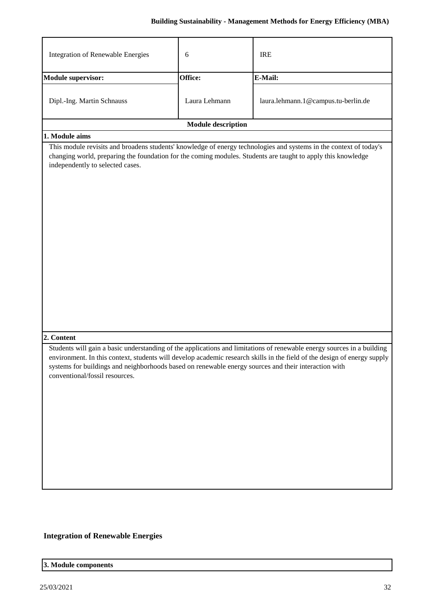| Integration of Renewable Energies                                                                                                      | 6                         | <b>IRE</b>                                                                                                                                                                                                                                         |
|----------------------------------------------------------------------------------------------------------------------------------------|---------------------------|----------------------------------------------------------------------------------------------------------------------------------------------------------------------------------------------------------------------------------------------------|
| <b>Module supervisor:</b>                                                                                                              | Office:                   | E-Mail:                                                                                                                                                                                                                                            |
| Dipl.-Ing. Martin Schnauss                                                                                                             | Laura Lehmann             | laura.lehmann.1@campus.tu-berlin.de                                                                                                                                                                                                                |
|                                                                                                                                        | <b>Module description</b> |                                                                                                                                                                                                                                                    |
| 1. Module aims                                                                                                                         |                           |                                                                                                                                                                                                                                                    |
| independently to selected cases.                                                                                                       |                           | This module revisits and broadens students' knowledge of energy technologies and systems in the context of today's<br>changing world, preparing the foundation for the coming modules. Students are taught to apply this knowledge                 |
| 2. Content                                                                                                                             |                           |                                                                                                                                                                                                                                                    |
| systems for buildings and neighborhoods based on renewable energy sources and their interaction with<br>conventional/fossil resources. |                           | Students will gain a basic understanding of the applications and limitations of renewable energy sources in a building<br>environment. In this context, students will develop academic research skills in the field of the design of energy supply |

# **Integration of Renewable Energies**

## **3. Module components**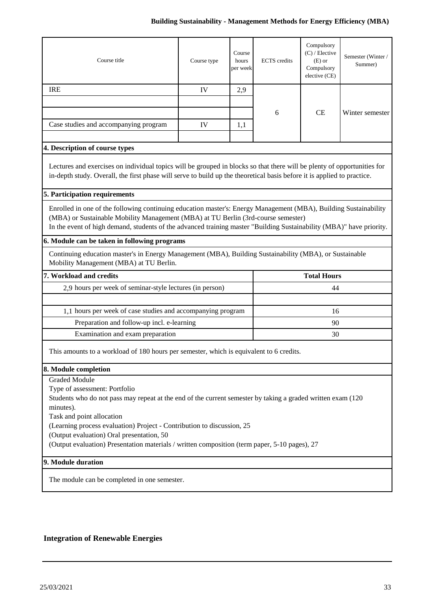## **Building Sustainability - Management Methods for Energy Efficiency (MBA)**

| Course title                                                                                                                                                                                                                                                                                                                  | Course type | Course<br>hours<br>per week | <b>ECTS</b> credits | Compulsory<br>$(C)$ / Elective<br>$(E)$ or<br>Compulsory<br>elective (CE) | Semester (Winter/<br>Summer) |  |  |
|-------------------------------------------------------------------------------------------------------------------------------------------------------------------------------------------------------------------------------------------------------------------------------------------------------------------------------|-------------|-----------------------------|---------------------|---------------------------------------------------------------------------|------------------------------|--|--|
| <b>IRE</b>                                                                                                                                                                                                                                                                                                                    | IV          | 2,9                         |                     |                                                                           |                              |  |  |
|                                                                                                                                                                                                                                                                                                                               |             |                             |                     |                                                                           |                              |  |  |
|                                                                                                                                                                                                                                                                                                                               |             |                             | 6                   | <b>CE</b>                                                                 | Winter semester              |  |  |
| Case studies and accompanying program                                                                                                                                                                                                                                                                                         | IV          | 1,1                         |                     |                                                                           |                              |  |  |
|                                                                                                                                                                                                                                                                                                                               |             |                             |                     |                                                                           |                              |  |  |
| 4. Description of course types                                                                                                                                                                                                                                                                                                |             |                             |                     |                                                                           |                              |  |  |
| Lectures and exercises on individual topics will be grouped in blocks so that there will be plenty of opportunities for<br>in-depth study. Overall, the first phase will serve to build up the theoretical basis before it is applied to practice.                                                                            |             |                             |                     |                                                                           |                              |  |  |
| 5. Participation requirements                                                                                                                                                                                                                                                                                                 |             |                             |                     |                                                                           |                              |  |  |
| Enrolled in one of the following continuing education master's: Energy Management (MBA), Building Sustainability<br>(MBA) or Sustainable Mobility Management (MBA) at TU Berlin (3rd-course semester)<br>In the event of high demand, students of the advanced training master "Building Sustainability (MBA)" have priority. |             |                             |                     |                                                                           |                              |  |  |
| 6. Module can be taken in following programs                                                                                                                                                                                                                                                                                  |             |                             |                     |                                                                           |                              |  |  |
| Continuing education master's in Energy Management (MBA), Building Sustainability (MBA), or Sustainable<br>Mobility Management (MBA) at TU Berlin.                                                                                                                                                                            |             |                             |                     |                                                                           |                              |  |  |
| 7. Workload and credits<br><b>Total Hours</b>                                                                                                                                                                                                                                                                                 |             |                             |                     |                                                                           |                              |  |  |
| 2,9 hours per week of seminar-style lectures (in person)<br>44                                                                                                                                                                                                                                                                |             |                             |                     |                                                                           |                              |  |  |
|                                                                                                                                                                                                                                                                                                                               |             |                             |                     |                                                                           |                              |  |  |
| 1,1 hours per week of case studies and accompanying program                                                                                                                                                                                                                                                                   |             |                             |                     | 16                                                                        |                              |  |  |
| Preparation and follow-up incl. e-learning                                                                                                                                                                                                                                                                                    |             |                             |                     | 90                                                                        |                              |  |  |
| Examination and exam preparation                                                                                                                                                                                                                                                                                              |             |                             |                     | 30                                                                        |                              |  |  |
| This amounts to a workload of 180 hours per semester, which is equivalent to 6 credits.                                                                                                                                                                                                                                       |             |                             |                     |                                                                           |                              |  |  |
| 8. Module completion                                                                                                                                                                                                                                                                                                          |             |                             |                     |                                                                           |                              |  |  |
| <b>Graded Module</b>                                                                                                                                                                                                                                                                                                          |             |                             |                     |                                                                           |                              |  |  |
| Type of assessment: Portfolio                                                                                                                                                                                                                                                                                                 |             |                             |                     |                                                                           |                              |  |  |
| Students who do not pass may repeat at the end of the current semester by taking a graded written exam (120)                                                                                                                                                                                                                  |             |                             |                     |                                                                           |                              |  |  |
| minutes).                                                                                                                                                                                                                                                                                                                     |             |                             |                     |                                                                           |                              |  |  |
| Task and point allocation<br>(Learning process evaluation) Project - Contribution to discussion, 25                                                                                                                                                                                                                           |             |                             |                     |                                                                           |                              |  |  |
| (Output evaluation) Oral presentation, 50                                                                                                                                                                                                                                                                                     |             |                             |                     |                                                                           |                              |  |  |
| (Output evaluation) Presentation materials / written composition (term paper, 5-10 pages), 27                                                                                                                                                                                                                                 |             |                             |                     |                                                                           |                              |  |  |
| 9. Module duration                                                                                                                                                                                                                                                                                                            |             |                             |                     |                                                                           |                              |  |  |
|                                                                                                                                                                                                                                                                                                                               |             |                             |                     |                                                                           |                              |  |  |
| The module can be completed in one semester.                                                                                                                                                                                                                                                                                  |             |                             |                     |                                                                           |                              |  |  |

## **Integration of Renewable Energies**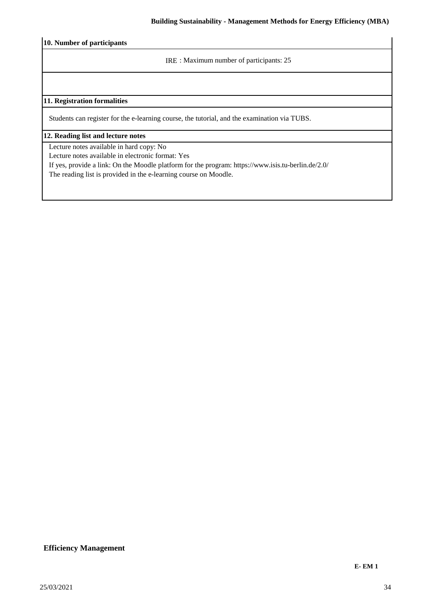**10. Number of participants**

IRE : Maximum number of participants: 25

### **11. Registration formalities**

Students can register for the e-learning course, the tutorial, and the examination via TUBS.

#### **12. Reading list and lecture notes**

Lecture notes available in hard copy: No

Lecture notes available in electronic format: Yes

If yes, provide a link: On the Moodle platform for the program: https://www.isis.tu-berlin.de/2.0/

The reading list is provided in the e-learning course on Moodle.

### **Efficiency Management**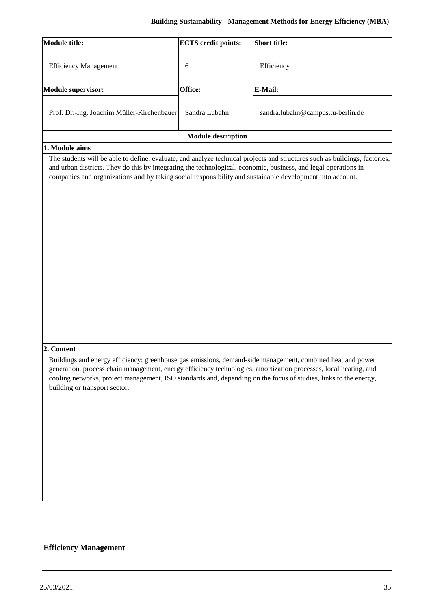| <b>Module title:</b>                                                                                                                        | <b>ECTS</b> credit points: | <b>Short title:</b>                                                                                                                                                                                                                  |
|---------------------------------------------------------------------------------------------------------------------------------------------|----------------------------|--------------------------------------------------------------------------------------------------------------------------------------------------------------------------------------------------------------------------------------|
| <b>Efficiency Management</b>                                                                                                                | 6                          | Efficiency                                                                                                                                                                                                                           |
| <b>Module supervisor:</b>                                                                                                                   | Office:                    | E-Mail:                                                                                                                                                                                                                              |
| Prof. Dr.-Ing. Joachim Müller-Kirchenbauer                                                                                                  | Sandra Lubahn              | sandra.lubahn@campus.tu-berlin.de                                                                                                                                                                                                    |
|                                                                                                                                             | <b>Module description</b>  |                                                                                                                                                                                                                                      |
| 1. Module aims                                                                                                                              |                            |                                                                                                                                                                                                                                      |
| companies and organizations and by taking social responsibility and sustainable development into account.<br>2. Content                     |                            |                                                                                                                                                                                                                                      |
| Buildings and energy efficiency; greenhouse gas emissions, demand-side management, combined heat and power<br>building or transport sector. |                            | generation, process chain management, energy efficiency technologies, amortization processes, local heating, and<br>cooling networks, project management, ISO standards and, depending on the focus of studies, links to the energy, |

## **Efficiency Management**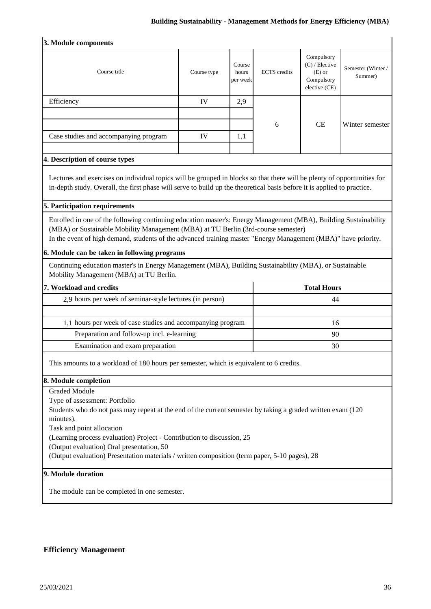## **Building Sustainability - Management Methods for Energy Efficiency (MBA)**

| 3. Module components                                                                                                                                                                                                                                                                                                                                                                                                                                          |             |                             |                     |                                                                         |                              |  |
|---------------------------------------------------------------------------------------------------------------------------------------------------------------------------------------------------------------------------------------------------------------------------------------------------------------------------------------------------------------------------------------------------------------------------------------------------------------|-------------|-----------------------------|---------------------|-------------------------------------------------------------------------|------------------------------|--|
| Course title                                                                                                                                                                                                                                                                                                                                                                                                                                                  | Course type | Course<br>hours<br>per week | <b>ECTS</b> credits | Compulsory<br>(C) / Elective<br>$(E)$ or<br>Compulsory<br>elective (CE) | Semester (Winter/<br>Summer) |  |
| Efficiency                                                                                                                                                                                                                                                                                                                                                                                                                                                    | IV          | 2,9                         |                     |                                                                         |                              |  |
|                                                                                                                                                                                                                                                                                                                                                                                                                                                               |             |                             |                     |                                                                         |                              |  |
|                                                                                                                                                                                                                                                                                                                                                                                                                                                               |             |                             | 6                   | <b>CE</b>                                                               | Winter semester              |  |
| Case studies and accompanying program                                                                                                                                                                                                                                                                                                                                                                                                                         | IV          | 1,1                         |                     |                                                                         |                              |  |
| 4. Description of course types                                                                                                                                                                                                                                                                                                                                                                                                                                |             |                             |                     |                                                                         |                              |  |
| Lectures and exercises on individual topics will be grouped in blocks so that there will be plenty of opportunities for<br>in-depth study. Overall, the first phase will serve to build up the theoretical basis before it is applied to practice.                                                                                                                                                                                                            |             |                             |                     |                                                                         |                              |  |
| 5. Participation requirements                                                                                                                                                                                                                                                                                                                                                                                                                                 |             |                             |                     |                                                                         |                              |  |
| Enrolled in one of the following continuing education master's: Energy Management (MBA), Building Sustainability<br>(MBA) or Sustainable Mobility Management (MBA) at TU Berlin (3rd-course semester)<br>In the event of high demand, students of the advanced training master "Energy Management (MBA)" have priority.                                                                                                                                       |             |                             |                     |                                                                         |                              |  |
| 6. Module can be taken in following programs                                                                                                                                                                                                                                                                                                                                                                                                                  |             |                             |                     |                                                                         |                              |  |
| Continuing education master's in Energy Management (MBA), Building Sustainability (MBA), or Sustainable<br>Mobility Management (MBA) at TU Berlin.                                                                                                                                                                                                                                                                                                            |             |                             |                     |                                                                         |                              |  |
| 7. Workload and credits                                                                                                                                                                                                                                                                                                                                                                                                                                       |             |                             |                     | <b>Total Hours</b>                                                      |                              |  |
| 2,9 hours per week of seminar-style lectures (in person)<br>44                                                                                                                                                                                                                                                                                                                                                                                                |             |                             |                     |                                                                         |                              |  |
|                                                                                                                                                                                                                                                                                                                                                                                                                                                               |             |                             |                     |                                                                         |                              |  |
| 1,1 hours per week of case studies and accompanying program                                                                                                                                                                                                                                                                                                                                                                                                   |             |                             |                     | 16                                                                      |                              |  |
| Preparation and follow-up incl. e-learning                                                                                                                                                                                                                                                                                                                                                                                                                    |             |                             |                     | 90                                                                      |                              |  |
| Examination and exam preparation                                                                                                                                                                                                                                                                                                                                                                                                                              | 30          |                             |                     |                                                                         |                              |  |
| This amounts to a workload of 180 hours per semester, which is equivalent to 6 credits.                                                                                                                                                                                                                                                                                                                                                                       |             |                             |                     |                                                                         |                              |  |
| 8. Module completion                                                                                                                                                                                                                                                                                                                                                                                                                                          |             |                             |                     |                                                                         |                              |  |
| <b>Graded Module</b><br>Type of assessment: Portfolio<br>Students who do not pass may repeat at the end of the current semester by taking a graded written exam (120)<br>minutes).<br>Task and point allocation<br>(Learning process evaluation) Project - Contribution to discussion, 25<br>(Output evaluation) Oral presentation, 50<br>(Output evaluation) Presentation materials / written composition (term paper, 5-10 pages), 28<br>9. Module duration |             |                             |                     |                                                                         |                              |  |
|                                                                                                                                                                                                                                                                                                                                                                                                                                                               |             |                             |                     |                                                                         |                              |  |
| The module can be completed in one semester.                                                                                                                                                                                                                                                                                                                                                                                                                  |             |                             |                     |                                                                         |                              |  |

## **Efficiency Management**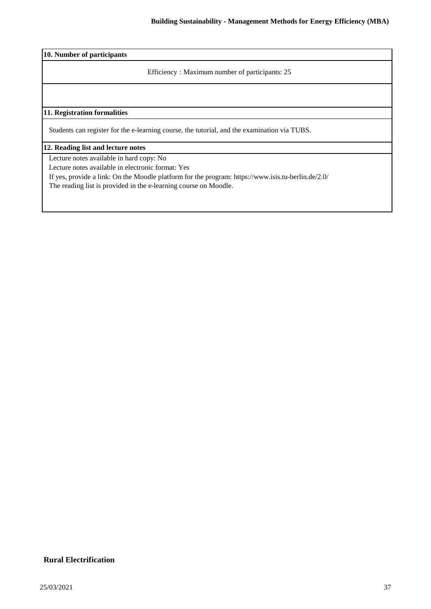**10. Number of participants**

Efficiency : Maximum number of participants: 25

### **11. Registration formalities**

Students can register for the e-learning course, the tutorial, and the examination via TUBS.

#### **12. Reading list and lecture notes**

Lecture notes available in hard copy: No

Lecture notes available in electronic format: Yes

If yes, provide a link: On the Moodle platform for the program: https://www.isis.tu-berlin.de/2.0/

The reading list is provided in the e-learning course on Moodle.

## **Rural Electrification**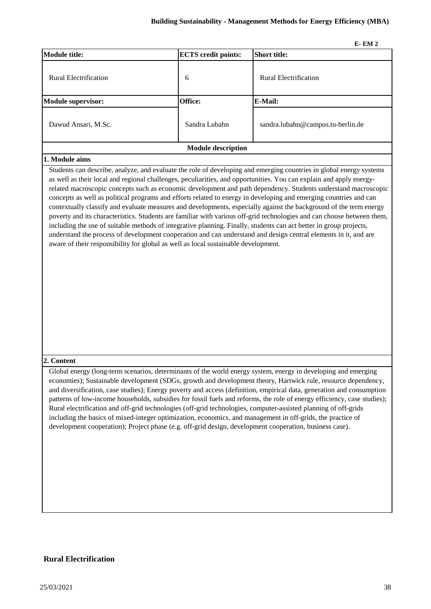|                           |                            | $E-EM2$                           |
|---------------------------|----------------------------|-----------------------------------|
| <b>Module title:</b>      | <b>ECTS</b> credit points: | <b>Short title:</b>               |
| Rural Electrification     | 6                          | <b>Rural Electrification</b>      |
| <b>Module supervisor:</b> | Office:                    | E-Mail:                           |
| Dawud Ansari, M.Sc.       | Sandra Lubahn              | sandra.lubahn@campus.tu-berlin.de |
|                           | <b>Module description</b>  |                                   |

#### **1. Module aims**

Students can describe, analyze, and evaluate the role of developing and emerging countries in global energy systems as well as their local and regional challenges, peculiarities, and opportunities. You can explain and apply energyrelated macroscopic concepts such as economic development and path dependency. Students understand macroscopic concepts as well as political programs and efforts related to energy in developing and emerging countries and can contextually classify and evaluate measures and developments, especially against the background of the term energy poverty and its characteristics. Students are familiar with various off-grid technologies and can choose between them, including the use of suitable methods of integrative planning. Finally, students can act better in group projects, understand the process of development cooperation and can understand and design central elements in it, and are aware of their responsibility for global as well as local sustainable development.

#### **2. Content**

Global energy (long-term scenarios, determinants of the world energy system, energy in developing and emerging economies); Sustainable development (SDGs, growth and development theory, Hartwick rule, resource dependency, and diversification, case studies); Energy poverty and access (definition, empirical data, generation and consumption patterns of low-income households, subsidies for fossil fuels and reforms, the role of energy efficiency, case studies); Rural electrification and off-grid technologies (off-grid technologies, computer-assisted planning of off-grids including the basics of mixed-integer optimization, economics, and management in off-grids, the practice of development cooperation); Project phase (e.g. off-grid design, development cooperation, business case).

#### **Rural Electrification**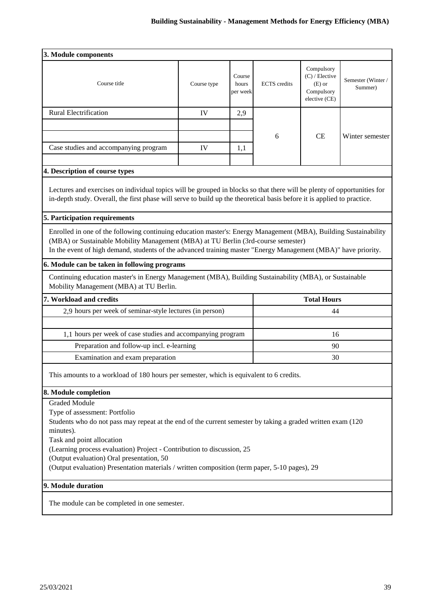| 3. Module components                                                                                                                                                                                                                                                                                                                                                                                                                    |             |                             |                     |                                                                           |                              |
|-----------------------------------------------------------------------------------------------------------------------------------------------------------------------------------------------------------------------------------------------------------------------------------------------------------------------------------------------------------------------------------------------------------------------------------------|-------------|-----------------------------|---------------------|---------------------------------------------------------------------------|------------------------------|
| Course title                                                                                                                                                                                                                                                                                                                                                                                                                            | Course type | Course<br>hours<br>per week | <b>ECTS</b> credits | Compulsory<br>$(C)$ / Elective<br>$(E)$ or<br>Compulsory<br>elective (CE) | Semester (Winter/<br>Summer) |
| <b>Rural Electrification</b>                                                                                                                                                                                                                                                                                                                                                                                                            | IV          | 2,9                         |                     |                                                                           |                              |
|                                                                                                                                                                                                                                                                                                                                                                                                                                         |             |                             |                     |                                                                           |                              |
|                                                                                                                                                                                                                                                                                                                                                                                                                                         |             |                             | 6                   | <b>CE</b>                                                                 | Winter semester              |
| Case studies and accompanying program                                                                                                                                                                                                                                                                                                                                                                                                   | IV          | 1,1                         |                     |                                                                           |                              |
| 4. Description of course types                                                                                                                                                                                                                                                                                                                                                                                                          |             |                             |                     |                                                                           |                              |
| Lectures and exercises on individual topics will be grouped in blocks so that there will be plenty of opportunities for<br>in-depth study. Overall, the first phase will serve to build up the theoretical basis before it is applied to practice.                                                                                                                                                                                      |             |                             |                     |                                                                           |                              |
| 5. Participation requirements                                                                                                                                                                                                                                                                                                                                                                                                           |             |                             |                     |                                                                           |                              |
| Enrolled in one of the following continuing education master's: Energy Management (MBA), Building Sustainability<br>(MBA) or Sustainable Mobility Management (MBA) at TU Berlin (3rd-course semester)<br>In the event of high demand, students of the advanced training master "Energy Management (MBA)" have priority.                                                                                                                 |             |                             |                     |                                                                           |                              |
| 6. Module can be taken in following programs                                                                                                                                                                                                                                                                                                                                                                                            |             |                             |                     |                                                                           |                              |
| Continuing education master's in Energy Management (MBA), Building Sustainability (MBA), or Sustainable<br>Mobility Management (MBA) at TU Berlin.                                                                                                                                                                                                                                                                                      |             |                             |                     |                                                                           |                              |
| 7. Workload and credits<br><b>Total Hours</b>                                                                                                                                                                                                                                                                                                                                                                                           |             |                             |                     |                                                                           |                              |
| 2,9 hours per week of seminar-style lectures (in person)                                                                                                                                                                                                                                                                                                                                                                                |             |                             |                     | 44                                                                        |                              |
|                                                                                                                                                                                                                                                                                                                                                                                                                                         |             |                             |                     |                                                                           |                              |
| 1,1 hours per week of case studies and accompanying program                                                                                                                                                                                                                                                                                                                                                                             |             |                             |                     | 16                                                                        |                              |
| Preparation and follow-up incl. e-learning                                                                                                                                                                                                                                                                                                                                                                                              |             |                             |                     | 90                                                                        |                              |
| Examination and exam preparation                                                                                                                                                                                                                                                                                                                                                                                                        |             |                             |                     | 30                                                                        |                              |
| This amounts to a workload of 180 hours per semester, which is equivalent to 6 credits.                                                                                                                                                                                                                                                                                                                                                 |             |                             |                     |                                                                           |                              |
| 8. Module completion                                                                                                                                                                                                                                                                                                                                                                                                                    |             |                             |                     |                                                                           |                              |
| <b>Graded Module</b><br>Type of assessment: Portfolio<br>Students who do not pass may repeat at the end of the current semester by taking a graded written exam (120)<br>minutes).<br>Task and point allocation<br>(Learning process evaluation) Project - Contribution to discussion, 25<br>(Output evaluation) Oral presentation, 50<br>(Output evaluation) Presentation materials / written composition (term paper, 5-10 pages), 29 |             |                             |                     |                                                                           |                              |
| 9. Module duration                                                                                                                                                                                                                                                                                                                                                                                                                      |             |                             |                     |                                                                           |                              |
| The module can be completed in one semester.                                                                                                                                                                                                                                                                                                                                                                                            |             |                             |                     |                                                                           |                              |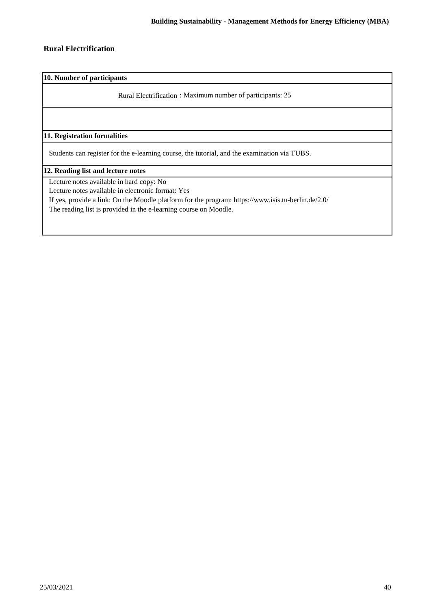### **Rural Electrification**

**10. Number of participants**

Rural Electrification : Maximum number of participants: 25

**11. Registration formalities**

Students can register for the e-learning course, the tutorial, and the examination via TUBS.

**12. Reading list and lecture notes**

Lecture notes available in hard copy: No

Lecture notes available in electronic format: Yes

If yes, provide a link: On the Moodle platform for the program: https://www.isis.tu-berlin.de/2.0/

The reading list is provided in the e-learning course on Moodle.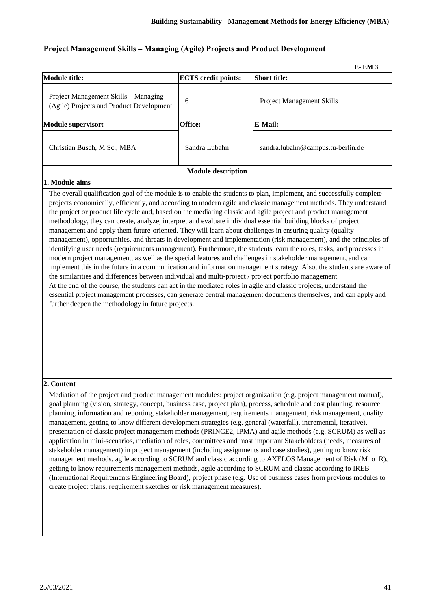### **Project Management Skills – Managing (Agile) Projects and Product Development**

|                                                                                                                                                                                                                                                                                                                                                                                                                                                                                                                                                                                                                                                                                                                                                                |                            | <b>E-EM3</b>                                                                                                                                                                                                                                                                                                                                                                                                                                                                                                                                                                                             |
|----------------------------------------------------------------------------------------------------------------------------------------------------------------------------------------------------------------------------------------------------------------------------------------------------------------------------------------------------------------------------------------------------------------------------------------------------------------------------------------------------------------------------------------------------------------------------------------------------------------------------------------------------------------------------------------------------------------------------------------------------------------|----------------------------|----------------------------------------------------------------------------------------------------------------------------------------------------------------------------------------------------------------------------------------------------------------------------------------------------------------------------------------------------------------------------------------------------------------------------------------------------------------------------------------------------------------------------------------------------------------------------------------------------------|
| <b>Module title:</b>                                                                                                                                                                                                                                                                                                                                                                                                                                                                                                                                                                                                                                                                                                                                           | <b>ECTS</b> credit points: | <b>Short title:</b>                                                                                                                                                                                                                                                                                                                                                                                                                                                                                                                                                                                      |
| Project Management Skills - Managing<br>(Agile) Projects and Product Development                                                                                                                                                                                                                                                                                                                                                                                                                                                                                                                                                                                                                                                                               | 6                          | <b>Project Management Skills</b>                                                                                                                                                                                                                                                                                                                                                                                                                                                                                                                                                                         |
| <b>Module supervisor:</b>                                                                                                                                                                                                                                                                                                                                                                                                                                                                                                                                                                                                                                                                                                                                      | Office:                    | E-Mail:                                                                                                                                                                                                                                                                                                                                                                                                                                                                                                                                                                                                  |
| Christian Busch, M.Sc., MBA                                                                                                                                                                                                                                                                                                                                                                                                                                                                                                                                                                                                                                                                                                                                    | Sandra Lubahn              | sandra.lubahn@campus.tu-berlin.de                                                                                                                                                                                                                                                                                                                                                                                                                                                                                                                                                                        |
|                                                                                                                                                                                                                                                                                                                                                                                                                                                                                                                                                                                                                                                                                                                                                                | <b>Module description</b>  |                                                                                                                                                                                                                                                                                                                                                                                                                                                                                                                                                                                                          |
| 1. Module aims                                                                                                                                                                                                                                                                                                                                                                                                                                                                                                                                                                                                                                                                                                                                                 |                            |                                                                                                                                                                                                                                                                                                                                                                                                                                                                                                                                                                                                          |
| the project or product life cycle and, based on the mediating classic and agile project and product management<br>methodology, they can create, analyze, interpret and evaluate individual essential building blocks of project<br>management and apply them future-oriented. They will learn about challenges in ensuring quality (quality<br>modern project management, as well as the special features and challenges in stakeholder management, and can<br>the similarities and differences between individual and multi-project / project portfolio management.<br>At the end of the course, the students can act in the mediated roles in agile and classic projects, understand the<br>further deepen the methodology in future projects.<br>2. Content |                            | management), opportunities, and threats in development and implementation (risk management), and the principles of<br>identifying user needs (requirements management). Furthermore, the students learn the roles, tasks, and processes in<br>implement this in the future in a communication and information management strategy. Also, the students are aware of<br>essential project management processes, can generate central management documents themselves, and can apply and<br>Mediation of the project and product management modules: project organization (e.g. project management manual), |
| management, getting to know different development strategies (e.g. general (waterfall), incremental, iterative),                                                                                                                                                                                                                                                                                                                                                                                                                                                                                                                                                                                                                                               |                            | goal planning (vision, strategy, concept, business case, project plan), process, schedule and cost planning, resource<br>planning, information and reporting, stakeholder management, requirements management, risk management, quality<br>presentation of classic project management methods (PRINCE2, IPMA) and agile methods (e.g. SCRUM) as well as                                                                                                                                                                                                                                                  |

application in mini-scenarios, mediation of roles, committees and most important Stakeholders (needs, measures of stakeholder management) in project management (including assignments and case studies), getting to know risk management methods, agile according to SCRUM and classic according to AXELOS Management of Risk (M\_o\_R), getting to know requirements management methods, agile according to SCRUM and classic according to IREB (International Requirements Engineering Board), project phase (e.g. Use of business cases from previous modules to

create project plans, requirement sketches or risk management measures).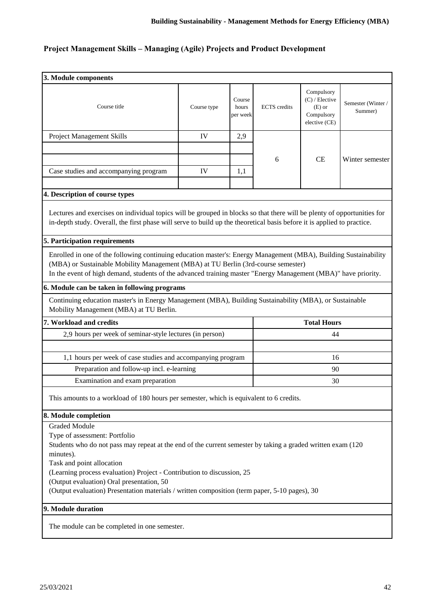# **Project Management Skills – Managing (Agile) Projects and Product Development**

| 3. Module components                                                                                                                                                                                                                                                                                                                                                                                                                    |             |                             |                     |                                                                           |                              |
|-----------------------------------------------------------------------------------------------------------------------------------------------------------------------------------------------------------------------------------------------------------------------------------------------------------------------------------------------------------------------------------------------------------------------------------------|-------------|-----------------------------|---------------------|---------------------------------------------------------------------------|------------------------------|
|                                                                                                                                                                                                                                                                                                                                                                                                                                         |             |                             |                     |                                                                           |                              |
| Course title                                                                                                                                                                                                                                                                                                                                                                                                                            | Course type | Course<br>hours<br>per week | <b>ECTS</b> credits | Compulsory<br>$(C)$ / Elective<br>$(E)$ or<br>Compulsory<br>elective (CE) | Semester (Winter/<br>Summer) |
| Project Management Skills                                                                                                                                                                                                                                                                                                                                                                                                               | IV          | 2,9                         |                     |                                                                           |                              |
|                                                                                                                                                                                                                                                                                                                                                                                                                                         |             |                             |                     |                                                                           |                              |
|                                                                                                                                                                                                                                                                                                                                                                                                                                         |             |                             | 6                   | <b>CE</b>                                                                 | Winter semester              |
| Case studies and accompanying program                                                                                                                                                                                                                                                                                                                                                                                                   | IV          | 1,1                         |                     |                                                                           |                              |
| 4. Description of course types                                                                                                                                                                                                                                                                                                                                                                                                          |             |                             |                     |                                                                           |                              |
| Lectures and exercises on individual topics will be grouped in blocks so that there will be plenty of opportunities for<br>in-depth study. Overall, the first phase will serve to build up the theoretical basis before it is applied to practice.                                                                                                                                                                                      |             |                             |                     |                                                                           |                              |
| 5. Participation requirements                                                                                                                                                                                                                                                                                                                                                                                                           |             |                             |                     |                                                                           |                              |
| Enrolled in one of the following continuing education master's: Energy Management (MBA), Building Sustainability<br>(MBA) or Sustainable Mobility Management (MBA) at TU Berlin (3rd-course semester)<br>In the event of high demand, students of the advanced training master "Energy Management (MBA)" have priority.                                                                                                                 |             |                             |                     |                                                                           |                              |
| 6. Module can be taken in following programs                                                                                                                                                                                                                                                                                                                                                                                            |             |                             |                     |                                                                           |                              |
| Continuing education master's in Energy Management (MBA), Building Sustainability (MBA), or Sustainable<br>Mobility Management (MBA) at TU Berlin.                                                                                                                                                                                                                                                                                      |             |                             |                     |                                                                           |                              |
| 7. Workload and credits<br><b>Total Hours</b>                                                                                                                                                                                                                                                                                                                                                                                           |             |                             |                     |                                                                           |                              |
| 2,9 hours per week of seminar-style lectures (in person)                                                                                                                                                                                                                                                                                                                                                                                |             |                             |                     | 44                                                                        |                              |
|                                                                                                                                                                                                                                                                                                                                                                                                                                         |             |                             |                     |                                                                           |                              |
| 1,1 hours per week of case studies and accompanying program                                                                                                                                                                                                                                                                                                                                                                             |             |                             |                     | 16                                                                        |                              |
| Preparation and follow-up incl. e-learning                                                                                                                                                                                                                                                                                                                                                                                              |             |                             | 90                  |                                                                           |                              |
| Examination and exam preparation                                                                                                                                                                                                                                                                                                                                                                                                        |             |                             |                     | 30                                                                        |                              |
| This amounts to a workload of 180 hours per semester, which is equivalent to 6 credits.                                                                                                                                                                                                                                                                                                                                                 |             |                             |                     |                                                                           |                              |
| 8. Module completion                                                                                                                                                                                                                                                                                                                                                                                                                    |             |                             |                     |                                                                           |                              |
| <b>Graded Module</b><br>Type of assessment: Portfolio<br>Students who do not pass may repeat at the end of the current semester by taking a graded written exam (120)<br>minutes).<br>Task and point allocation<br>(Learning process evaluation) Project - Contribution to discussion, 25<br>(Output evaluation) Oral presentation, 50<br>(Output evaluation) Presentation materials / written composition (term paper, 5-10 pages), 30 |             |                             |                     |                                                                           |                              |
| 9. Module duration                                                                                                                                                                                                                                                                                                                                                                                                                      |             |                             |                     |                                                                           |                              |
| The module can be completed in one semester.                                                                                                                                                                                                                                                                                                                                                                                            |             |                             |                     |                                                                           |                              |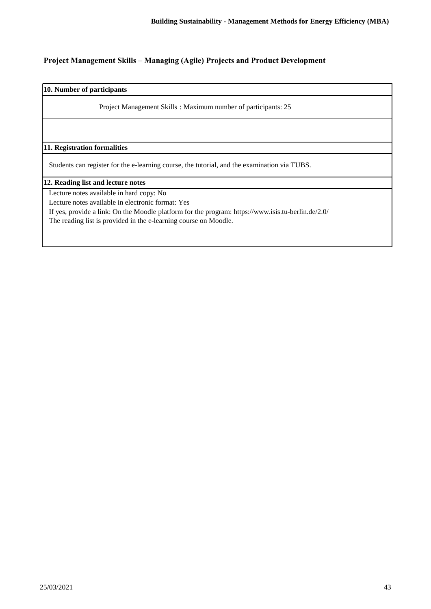## **Project Management Skills – Managing (Agile) Projects and Product Development**

**10. Number of participants**

Project Management Skills : Maximum number of participants: 25

**11. Registration formalities**

Students can register for the e-learning course, the tutorial, and the examination via TUBS.

**12. Reading list and lecture notes**

Lecture notes available in hard copy: No

Lecture notes available in electronic format: Yes

If yes, provide a link: On the Moodle platform for the program: https://www.isis.tu-berlin.de/2.0/

The reading list is provided in the e-learning course on Moodle.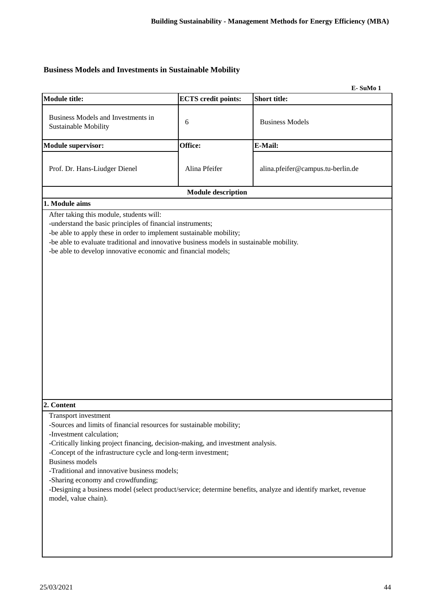## **Business Models and Investments in Sustainable Mobility**

|                                                                                                                                                                                                                                                                                                                                                                                                                                                                                                                                         |                            | E-SuMo 1                          |
|-----------------------------------------------------------------------------------------------------------------------------------------------------------------------------------------------------------------------------------------------------------------------------------------------------------------------------------------------------------------------------------------------------------------------------------------------------------------------------------------------------------------------------------------|----------------------------|-----------------------------------|
| <b>Module title:</b>                                                                                                                                                                                                                                                                                                                                                                                                                                                                                                                    | <b>ECTS</b> credit points: | <b>Short title:</b>               |
| Business Models and Investments in<br>Sustainable Mobility                                                                                                                                                                                                                                                                                                                                                                                                                                                                              | 6                          | <b>Business Models</b>            |
| <b>Module supervisor:</b>                                                                                                                                                                                                                                                                                                                                                                                                                                                                                                               | Office:                    | E-Mail:                           |
| Prof. Dr. Hans-Liudger Dienel                                                                                                                                                                                                                                                                                                                                                                                                                                                                                                           | Alina Pfeifer              | alina.pfeifer@campus.tu-berlin.de |
|                                                                                                                                                                                                                                                                                                                                                                                                                                                                                                                                         | <b>Module description</b>  |                                   |
| 1. Module aims                                                                                                                                                                                                                                                                                                                                                                                                                                                                                                                          |                            |                                   |
| -understand the basic principles of financial instruments;<br>-be able to apply these in order to implement sustainable mobility;<br>-be able to evaluate traditional and innovative business models in sustainable mobility.<br>-be able to develop innovative economic and financial models;                                                                                                                                                                                                                                          |                            |                                   |
| 2. Content                                                                                                                                                                                                                                                                                                                                                                                                                                                                                                                              |                            |                                   |
| Transport investment<br>-Sources and limits of financial resources for sustainable mobility;<br>-Investment calculation;<br>-Critically linking project financing, decision-making, and investment analysis.<br>-Concept of the infrastructure cycle and long-term investment;<br><b>Business models</b><br>-Traditional and innovative business models;<br>-Sharing economy and crowdfunding;<br>-Designing a business model (select product/service; determine benefits, analyze and identify market, revenue<br>model, value chain). |                            |                                   |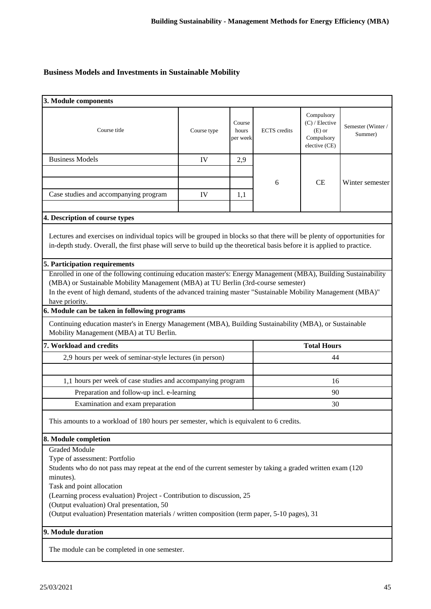## **Business Models and Investments in Sustainable Mobility**

| 3. Module components                                                                                                                                                                                                                                                                                                                                                                                                                   |                                                                                                                                                                                                                                                                                                                                                                                                                                                                                                                                                                              |                             |                     |                                                                         |                              |  |
|----------------------------------------------------------------------------------------------------------------------------------------------------------------------------------------------------------------------------------------------------------------------------------------------------------------------------------------------------------------------------------------------------------------------------------------|------------------------------------------------------------------------------------------------------------------------------------------------------------------------------------------------------------------------------------------------------------------------------------------------------------------------------------------------------------------------------------------------------------------------------------------------------------------------------------------------------------------------------------------------------------------------------|-----------------------------|---------------------|-------------------------------------------------------------------------|------------------------------|--|
| Course title                                                                                                                                                                                                                                                                                                                                                                                                                           | Course type                                                                                                                                                                                                                                                                                                                                                                                                                                                                                                                                                                  | Course<br>hours<br>per week | <b>ECTS</b> credits | Compulsory<br>(C) / Elective<br>$(E)$ or<br>Compulsory<br>elective (CE) | Semester (Winter/<br>Summer) |  |
| <b>Business Models</b>                                                                                                                                                                                                                                                                                                                                                                                                                 | IV                                                                                                                                                                                                                                                                                                                                                                                                                                                                                                                                                                           | 2,9                         |                     |                                                                         |                              |  |
|                                                                                                                                                                                                                                                                                                                                                                                                                                        |                                                                                                                                                                                                                                                                                                                                                                                                                                                                                                                                                                              |                             |                     |                                                                         |                              |  |
|                                                                                                                                                                                                                                                                                                                                                                                                                                        |                                                                                                                                                                                                                                                                                                                                                                                                                                                                                                                                                                              |                             | 6                   | CE                                                                      | Winter semester              |  |
| Case studies and accompanying program                                                                                                                                                                                                                                                                                                                                                                                                  | IV                                                                                                                                                                                                                                                                                                                                                                                                                                                                                                                                                                           | 1,1                         |                     |                                                                         |                              |  |
| 4. Description of course types                                                                                                                                                                                                                                                                                                                                                                                                         |                                                                                                                                                                                                                                                                                                                                                                                                                                                                                                                                                                              |                             |                     |                                                                         |                              |  |
| 5. Participation requirements                                                                                                                                                                                                                                                                                                                                                                                                          | Lectures and exercises on individual topics will be grouped in blocks so that there will be plenty of opportunities for<br>in-depth study. Overall, the first phase will serve to build up the theoretical basis before it is applied to practice.<br>Enrolled in one of the following continuing education master's: Energy Management (MBA), Building Sustainability<br>(MBA) or Sustainable Mobility Management (MBA) at TU Berlin (3rd-course semester)<br>In the event of high demand, students of the advanced training master "Sustainable Mobility Management (MBA)" |                             |                     |                                                                         |                              |  |
| have priority.<br>6. Module can be taken in following programs                                                                                                                                                                                                                                                                                                                                                                         |                                                                                                                                                                                                                                                                                                                                                                                                                                                                                                                                                                              |                             |                     |                                                                         |                              |  |
| Continuing education master's in Energy Management (MBA), Building Sustainability (MBA), or Sustainable<br>Mobility Management (MBA) at TU Berlin.                                                                                                                                                                                                                                                                                     |                                                                                                                                                                                                                                                                                                                                                                                                                                                                                                                                                                              |                             |                     |                                                                         |                              |  |
| <b>Total Hours</b><br>7. Workload and credits                                                                                                                                                                                                                                                                                                                                                                                          |                                                                                                                                                                                                                                                                                                                                                                                                                                                                                                                                                                              |                             |                     |                                                                         |                              |  |
| 2,9 hours per week of seminar-style lectures (in person)<br>44                                                                                                                                                                                                                                                                                                                                                                         |                                                                                                                                                                                                                                                                                                                                                                                                                                                                                                                                                                              |                             |                     |                                                                         |                              |  |
|                                                                                                                                                                                                                                                                                                                                                                                                                                        |                                                                                                                                                                                                                                                                                                                                                                                                                                                                                                                                                                              |                             |                     |                                                                         |                              |  |
| 1,1 hours per week of case studies and accompanying program                                                                                                                                                                                                                                                                                                                                                                            |                                                                                                                                                                                                                                                                                                                                                                                                                                                                                                                                                                              |                             |                     | 16                                                                      |                              |  |
| Preparation and follow-up incl. e-learning                                                                                                                                                                                                                                                                                                                                                                                             |                                                                                                                                                                                                                                                                                                                                                                                                                                                                                                                                                                              |                             | 90                  |                                                                         |                              |  |
| Examination and exam preparation                                                                                                                                                                                                                                                                                                                                                                                                       |                                                                                                                                                                                                                                                                                                                                                                                                                                                                                                                                                                              |                             |                     | 30                                                                      |                              |  |
| This amounts to a workload of 180 hours per semester, which is equivalent to 6 credits.                                                                                                                                                                                                                                                                                                                                                |                                                                                                                                                                                                                                                                                                                                                                                                                                                                                                                                                                              |                             |                     |                                                                         |                              |  |
| 8. Module completion                                                                                                                                                                                                                                                                                                                                                                                                                   |                                                                                                                                                                                                                                                                                                                                                                                                                                                                                                                                                                              |                             |                     |                                                                         |                              |  |
| <b>Graded Module</b><br>Type of assessment: Portfolio<br>Students who do not pass may repeat at the end of the current semester by taking a graded written exam (120<br>minutes).<br>Task and point allocation<br>(Learning process evaluation) Project - Contribution to discussion, 25<br>(Output evaluation) Oral presentation, 50<br>(Output evaluation) Presentation materials / written composition (term paper, 5-10 pages), 31 |                                                                                                                                                                                                                                                                                                                                                                                                                                                                                                                                                                              |                             |                     |                                                                         |                              |  |
| 9. Module duration                                                                                                                                                                                                                                                                                                                                                                                                                     |                                                                                                                                                                                                                                                                                                                                                                                                                                                                                                                                                                              |                             |                     |                                                                         |                              |  |
| The module can be completed in one semester.                                                                                                                                                                                                                                                                                                                                                                                           |                                                                                                                                                                                                                                                                                                                                                                                                                                                                                                                                                                              |                             |                     |                                                                         |                              |  |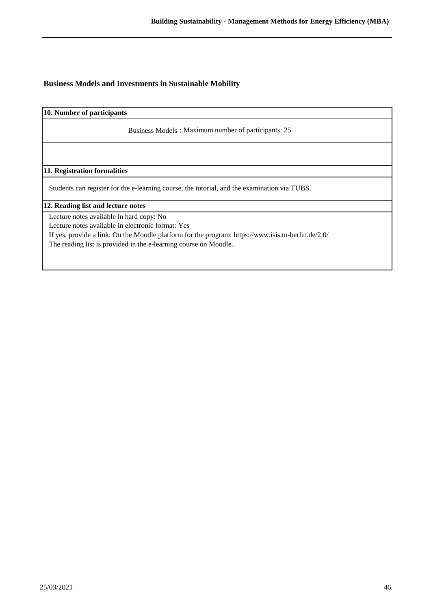### **Business Models and Investments in Sustainable Mobility**

**10. Number of participants**

Business Models : Maximum number of participants: 25

**11. Registration formalities**

Students can register for the e-learning course, the tutorial, and the examination via TUBS.

**12. Reading list and lecture notes**

Lecture notes available in hard copy: No

Lecture notes available in electronic format: Yes

If yes, provide a link: On the Moodle platform for the program: https://www.isis.tu-berlin.de/2.0/

The reading list is provided in the e-learning course on Moodle.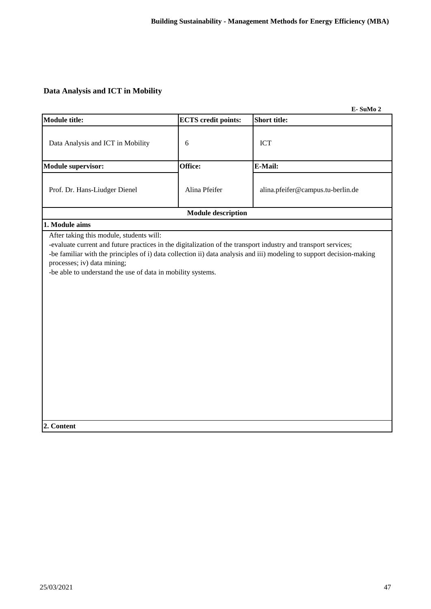## **Data Analysis and ICT in Mobility**

|                                                                                                                                                                                                                                                          |                            | E-SuMo 2                                                                                                              |
|----------------------------------------------------------------------------------------------------------------------------------------------------------------------------------------------------------------------------------------------------------|----------------------------|-----------------------------------------------------------------------------------------------------------------------|
| <b>Module title:</b>                                                                                                                                                                                                                                     | <b>ECTS</b> credit points: | <b>Short title:</b>                                                                                                   |
| Data Analysis and ICT in Mobility                                                                                                                                                                                                                        | 6                          | <b>ICT</b>                                                                                                            |
| <b>Module supervisor:</b>                                                                                                                                                                                                                                | Office:                    | E-Mail:                                                                                                               |
| Prof. Dr. Hans-Liudger Dienel                                                                                                                                                                                                                            | Alina Pfeifer              | alina.pfeifer@campus.tu-berlin.de                                                                                     |
|                                                                                                                                                                                                                                                          | <b>Module description</b>  |                                                                                                                       |
| 1. Module aims                                                                                                                                                                                                                                           |                            |                                                                                                                       |
| After taking this module, students will:<br>-evaluate current and future practices in the digitalization of the transport industry and transport services;<br>processes; iv) data mining;<br>-be able to understand the use of data in mobility systems. |                            | -be familiar with the principles of i) data collection ii) data analysis and iii) modeling to support decision-making |

**2. Content**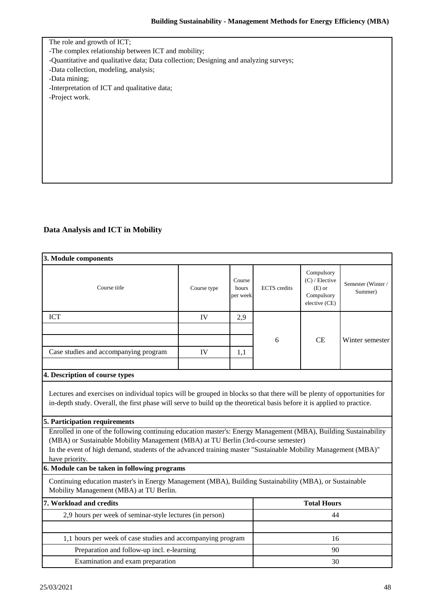The role and growth of ICT; -The complex relationship between ICT and mobility; -Quantitative and qualitative data; Data collection; Designing and analyzing surveys; -Data collection, modeling, analysis; -Data mining; -Interpretation of ICT and qualitative data; -Project work.

## **Data Analysis and ICT in Mobility**

| 3. Module components                                                                                                                                                                                                                                                                                                                                                                                                                                                                                                                                                                                                            |             |                             |                     |                                                                           |                              |
|---------------------------------------------------------------------------------------------------------------------------------------------------------------------------------------------------------------------------------------------------------------------------------------------------------------------------------------------------------------------------------------------------------------------------------------------------------------------------------------------------------------------------------------------------------------------------------------------------------------------------------|-------------|-----------------------------|---------------------|---------------------------------------------------------------------------|------------------------------|
| Course title                                                                                                                                                                                                                                                                                                                                                                                                                                                                                                                                                                                                                    | Course type | Course<br>hours<br>per week | <b>ECTS</b> credits | Compulsory<br>$(C)$ / Elective<br>$(E)$ or<br>Compulsory<br>elective (CE) | Semester (Winter/<br>Summer) |
| <b>ICT</b>                                                                                                                                                                                                                                                                                                                                                                                                                                                                                                                                                                                                                      | IV          | 2,9                         |                     |                                                                           |                              |
|                                                                                                                                                                                                                                                                                                                                                                                                                                                                                                                                                                                                                                 |             |                             |                     |                                                                           |                              |
|                                                                                                                                                                                                                                                                                                                                                                                                                                                                                                                                                                                                                                 |             |                             | 6                   | <b>CE</b>                                                                 | Winter semester              |
| Case studies and accompanying program                                                                                                                                                                                                                                                                                                                                                                                                                                                                                                                                                                                           | IV          | 1,1                         |                     |                                                                           |                              |
|                                                                                                                                                                                                                                                                                                                                                                                                                                                                                                                                                                                                                                 |             |                             |                     |                                                                           |                              |
| 4. Description of course types                                                                                                                                                                                                                                                                                                                                                                                                                                                                                                                                                                                                  |             |                             |                     |                                                                           |                              |
| Lectures and exercises on individual topics will be grouped in blocks so that there will be plenty of opportunities for<br>in-depth study. Overall, the first phase will serve to build up the theoretical basis before it is applied to practice.<br>5. Participation requirements<br>Enrolled in one of the following continuing education master's: Energy Management (MBA), Building Sustainability<br>(MBA) or Sustainable Mobility Management (MBA) at TU Berlin (3rd-course semester)<br>In the event of high demand, students of the advanced training master "Sustainable Mobility Management (MBA)"<br>have priority. |             |                             |                     |                                                                           |                              |
| 6. Module can be taken in following programs                                                                                                                                                                                                                                                                                                                                                                                                                                                                                                                                                                                    |             |                             |                     |                                                                           |                              |
| Continuing education master's in Energy Management (MBA), Building Sustainability (MBA), or Sustainable<br>Mobility Management (MBA) at TU Berlin.                                                                                                                                                                                                                                                                                                                                                                                                                                                                              |             |                             |                     |                                                                           |                              |
| 7. Workload and credits                                                                                                                                                                                                                                                                                                                                                                                                                                                                                                                                                                                                         |             |                             |                     | <b>Total Hours</b>                                                        |                              |
| 2,9 hours per week of seminar-style lectures (in person)                                                                                                                                                                                                                                                                                                                                                                                                                                                                                                                                                                        |             | 44                          |                     |                                                                           |                              |
|                                                                                                                                                                                                                                                                                                                                                                                                                                                                                                                                                                                                                                 |             |                             |                     |                                                                           |                              |
| 1,1 hours per week of case studies and accompanying program                                                                                                                                                                                                                                                                                                                                                                                                                                                                                                                                                                     |             |                             | 16                  |                                                                           |                              |
| Preparation and follow-up incl. e-learning                                                                                                                                                                                                                                                                                                                                                                                                                                                                                                                                                                                      |             |                             |                     | 90                                                                        |                              |
| Examination and exam preparation                                                                                                                                                                                                                                                                                                                                                                                                                                                                                                                                                                                                |             |                             |                     | 30                                                                        |                              |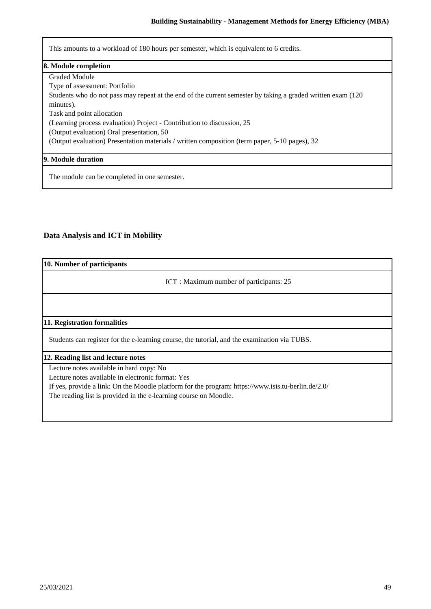This amounts to a workload of 180 hours per semester, which is equivalent to 6 credits.

#### **8. Module completion**

Graded Module

Type of assessment: Portfolio

Students who do not pass may repeat at the end of the current semester by taking a graded written exam (120 minutes).

Task and point allocation

(Learning process evaluation) Project - Contribution to discussion, 25

(Output evaluation) Oral presentation, 50

(Output evaluation) Presentation materials / written composition (term paper, 5-10 pages), 32

#### **9. Module duration**

The module can be completed in one semester.

## **Data Analysis and ICT in Mobility**

| 10. Number of participants                                                                                                                                                                                                                                              |
|-------------------------------------------------------------------------------------------------------------------------------------------------------------------------------------------------------------------------------------------------------------------------|
| ICT: Maximum number of participants: 25                                                                                                                                                                                                                                 |
|                                                                                                                                                                                                                                                                         |
| 11. Registration formalities                                                                                                                                                                                                                                            |
| Students can register for the e-learning course, the tutorial, and the examination via TUBS.                                                                                                                                                                            |
| 12. Reading list and lecture notes                                                                                                                                                                                                                                      |
| Lecture notes available in hard copy: No<br>Lecture notes available in electronic format: Yes<br>If yes, provide a link: On the Moodle platform for the program: https://www.isis.tu-berlin.de/2.0/<br>The reading list is provided in the e-learning course on Moodle. |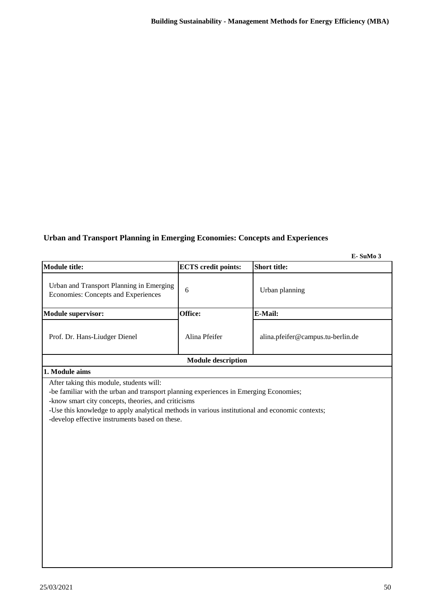## **Urban and Transport Planning in Emerging Economies: Concepts and Experiences**

**E- SuMo 3**

| <b>Module title:</b>                                                            | <b>ECTS</b> credit points: | <b>Short title:</b>               |  |  |
|---------------------------------------------------------------------------------|----------------------------|-----------------------------------|--|--|
| Urban and Transport Planning in Emerging<br>Economies: Concepts and Experiences | 6                          | Urban planning                    |  |  |
| <b>Module supervisor:</b>                                                       | Office:                    | <b>E-Mail:</b>                    |  |  |
| Prof. Dr. Hans-Liudger Dienel                                                   | Alina Pfeifer              | alina.pfeifer@campus.tu-berlin.de |  |  |
| <b>Module description</b>                                                       |                            |                                   |  |  |
| 1. Module aims                                                                  |                            |                                   |  |  |

After taking this module, students will:

-be familiar with the urban and transport planning experiences in Emerging Economies;

-know smart city concepts, theories, and criticisms

-Use this knowledge to apply analytical methods in various institutional and economic contexts;

-develop effective instruments based on these.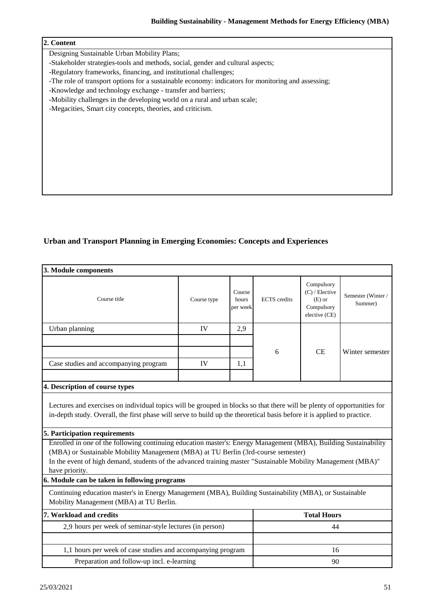Designing Sustainable Urban Mobility Plans;

-Stakeholder strategies-tools and methods, social, gender and cultural aspects;

-Regulatory frameworks, financing, and institutional challenges;

-The role of transport options for a sustainable economy: indicators for monitoring and assessing;

-Knowledge and technology exchange - transfer and barriers;

-Mobility challenges in the developing world on a rural and urban scale;

-Megacities, Smart city concepts, theories, and criticism.

## **Urban and Transport Planning in Emerging Economies: Concepts and Experiences**

| 3. Module components                                                                                                                                                                                                                                                                                                                                                                                                                                                                                                                                                                                                                                              |             |                             |                     |                                                                           |                              |
|-------------------------------------------------------------------------------------------------------------------------------------------------------------------------------------------------------------------------------------------------------------------------------------------------------------------------------------------------------------------------------------------------------------------------------------------------------------------------------------------------------------------------------------------------------------------------------------------------------------------------------------------------------------------|-------------|-----------------------------|---------------------|---------------------------------------------------------------------------|------------------------------|
| Course title                                                                                                                                                                                                                                                                                                                                                                                                                                                                                                                                                                                                                                                      | Course type | Course<br>hours<br>per week | <b>ECTS</b> credits | Compulsory<br>$(C)$ / Elective<br>$(E)$ or<br>Compulsory<br>elective (CE) | Semester (Winter/<br>Summer) |
| Urban planning                                                                                                                                                                                                                                                                                                                                                                                                                                                                                                                                                                                                                                                    | IV          | 2,9                         |                     |                                                                           |                              |
|                                                                                                                                                                                                                                                                                                                                                                                                                                                                                                                                                                                                                                                                   |             |                             | 6                   | CE                                                                        | Winter semester              |
| Case studies and accompanying program                                                                                                                                                                                                                                                                                                                                                                                                                                                                                                                                                                                                                             | IV          | 1,1                         |                     |                                                                           |                              |
| 4. Description of course types<br>Lectures and exercises on individual topics will be grouped in blocks so that there will be plenty of opportunities for<br>in-depth study. Overall, the first phase will serve to build up the theoretical basis before it is applied to practice.<br>5. Participation requirements<br>Enrolled in one of the following continuing education master's: Energy Management (MBA), Building Sustainability<br>(MBA) or Sustainable Mobility Management (MBA) at TU Berlin (3rd-course semester)<br>In the event of high demand, students of the advanced training master "Sustainable Mobility Management (MBA)"<br>have priority. |             |                             |                     |                                                                           |                              |
| 6. Module can be taken in following programs                                                                                                                                                                                                                                                                                                                                                                                                                                                                                                                                                                                                                      |             |                             |                     |                                                                           |                              |
| Continuing education master's in Energy Management (MBA), Building Sustainability (MBA), or Sustainable<br>Mobility Management (MBA) at TU Berlin.                                                                                                                                                                                                                                                                                                                                                                                                                                                                                                                |             |                             |                     |                                                                           |                              |
| 7. Workload and credits                                                                                                                                                                                                                                                                                                                                                                                                                                                                                                                                                                                                                                           |             | <b>Total Hours</b>          |                     |                                                                           |                              |
| 2,9 hours per week of seminar-style lectures (in person)                                                                                                                                                                                                                                                                                                                                                                                                                                                                                                                                                                                                          |             |                             |                     | 44                                                                        |                              |
| 1,1 hours per week of case studies and accompanying program                                                                                                                                                                                                                                                                                                                                                                                                                                                                                                                                                                                                       |             |                             | 16                  |                                                                           |                              |
| Preparation and follow-up incl. e-learning                                                                                                                                                                                                                                                                                                                                                                                                                                                                                                                                                                                                                        |             |                             |                     | 90                                                                        |                              |